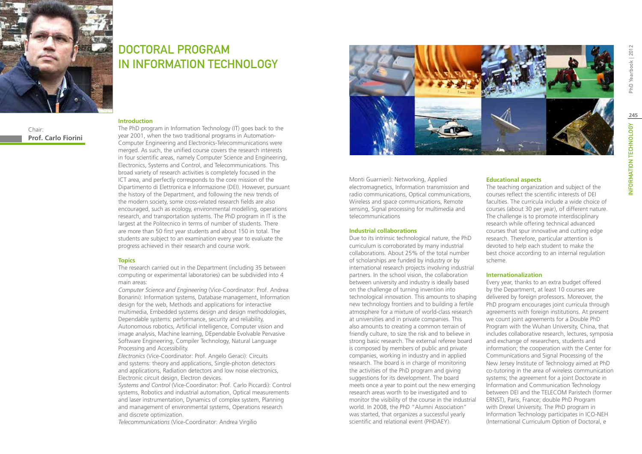

Chair: **Prof. Carlo Fiorini**

## DOCTORAL PROGRAM IN Information Technology

#### **Introduction**

The PhD program in Information Technology (IT) goes back to the year 2001, when the two traditional programs in Automation-Computer Engineering and Electronics-Telecommunications were merged. As such, the unified course covers the research interests in four scientific areas, namely Computer Science and Engineering, Electronics, Systems and Control, and Telecommunications. This broad variety of research activities is completely focused in the ICT area, and perfectly corresponds to the core mission of the Dipartimento di Elettronica e Informazione (DEI). However, pursuant the history of the Department, and following the new trends of the modern society, some cross-related research fields are also encouraged, such as ecology, environmental modelling, operations research, and transportation systems. The PhD program in IT is the largest at the Politecnico in terms of number of students. There are more than 50 first year students and about 150 in total. The students are subject to an examination every year to evaluate the progress achieved in their research and course work.

#### **Topics**

The research carried out in the Department (including 35 between computing or experimental laboratories) can be subdivided into 4 main areas:

*Computer Science and Engineering* (Vice-Coordinator: Prof. Andrea Bonarini): Information systems, Database management, Information design for the web, Methods and applications for interactive multimedia, Embedded systems design and design methodologies, Dependable systems: performance, security and reliability, Autonomous robotics, Artificial intelligence, Computer vision and image analysis, Machine learning, DEpendable Evolvable Pervasive Software Engineering, Compiler Technology, Natural Language Processing and Accessibility.

*Electronics* (Vice-Coordinator: Prof. Angelo Geraci): Circuits and systems: theory and applications, Single-photon detectors and applications, Radiation detectors and low noise electronics, Electronic circuit design, Electron devices.

*Systems and Control* (Vice-Coordinator: Prof. Carlo Piccardi): Control systems, Robotics and industrial automation, Optical measurements and laser instrumentation, Dynamics of complex system, Planning and management of environmental systems, Operations research and discrete optimization.

*Telecommunications* (Vice-Coordinator: Andrea Virgilio



Monti Guarnieri): Networking, Applied electromagnetics, Information transmission and radio communications, Optical communications, Wireless and space communications, Remote sensing, Signal processing for multimedia and telecommunications

#### **Industrial collaborations**

Due to its intrinsic technological nature, the PhD curriculum is corroborated by many industrial collaborations. About 25% of the total number of scholarships are funded by industry or by international research projects involving industrial partners. In the school vision, the collaboration between university and industry is ideally based on the challenge of turning invention into technological innovation. This amounts to shaping new technology frontiers and to building a fertile atmosphere for a mixture of world-class research at universities and in private companies. This also amounts to creating a common terrain of friendly culture, to size the risk and to believe in strong basic research. The external referee board is composed by members of public and private companies, working in industry and in applied research. The board is in charge of monitoring the activities of the PhD program and giving suggestions for its development. The board meets once a year to point out the new emerging research areas worth to be investigated and to monitor the visibility of the course in the industrial world. In 2008, the PhD "Alumni Association" was started, that organizes a successful yearly scientific and relational event (PHDAEY).

#### **Educational aspects**

The teaching organization and subject of the courses reflect the scientific interests of DEI faculties. The curricula include a wide choice of courses (about 30 per year), of different nature. The challenge is to promote interdisciplinary research while offering technical advanced courses that spur innovative and cutting edge research. Therefore, particular attention is devoted to help each student to make the best choice according to an internal regulation scheme.

#### **Internationalization**

Every year, thanks to an extra budget offered by the Department, at least 10 courses are delivered by foreign professors. Moreover, the PhD program encourages joint curricula through agreements with foreign institutions. At present we count joint agreements for a Double PhD Program with the Wuhan University, China, that includes collaborative research, lectures, symposia and exchange of researchers, students and information; the cooperation with the Center for Communications and Signal Processing of the New Jersey Institute of Technology aimed at PhD co-tutoring in the area of wireless communication systems; the agreement for a joint Doctorate in Information and Communication Technology between DEI and the TELECOM Paristech (former ERNST), Paris, France; double PhD Program with Drexel University. The PhD program in Information Technology participates in ICO-NEH (International Curriculum Option of Doctoral, e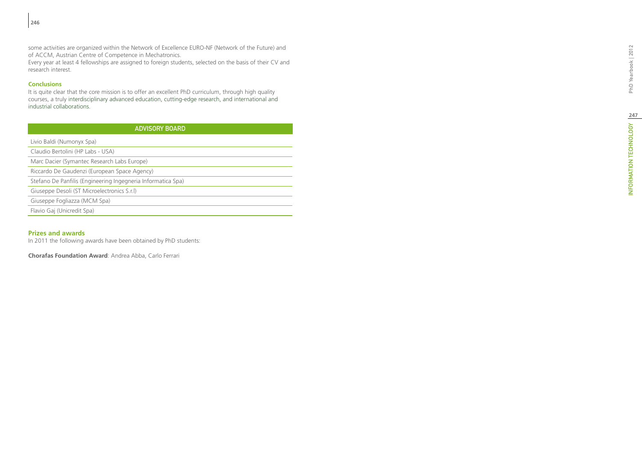some activities are organized within the Network of Excellence EURO-NF (Network of the Future) and of ACCM, Austrian Centre of Competence in Mechatronics.

Every year at least 4 fellowships are assigned to foreign students, selected on the basis of their CV and research interest.

## **Conclusions**

It is quite clear that the core mission is to offer an excellent PhD curriculum, through high quality courses, a truly interdisciplinary advanced education, cutting-edge research, and international and industrial collaborations.

| <b>ADVISORY BOARD</b>                                                                        |  |  |  |
|----------------------------------------------------------------------------------------------|--|--|--|
| Livio Baldi (Numonyx Spa)                                                                    |  |  |  |
| Claudio Bertolini (HP Labs - USA)                                                            |  |  |  |
| Marc Dacier (Symantec Research Labs Europe)                                                  |  |  |  |
| Riccardo De Gaudenzi (European Space Agency)                                                 |  |  |  |
| Stefano De Panfilis (Engineering Ingegneria Informatica Spa)                                 |  |  |  |
| Giuseppe Desoli (ST Microelectronics S.r.l)                                                  |  |  |  |
| Giuseppe Fogliazza (MCM Spa)                                                                 |  |  |  |
| Flavio Gaj (Unicredit Spa)                                                                   |  |  |  |
|                                                                                              |  |  |  |
| <b>Prizes and awards</b><br>In 2011 the following awards have been obtained by PhD students: |  |  |  |
| <b>Chorafas Foundation Award: Andrea Abba, Carlo Ferrari</b>                                 |  |  |  |

## **Prizes and awards**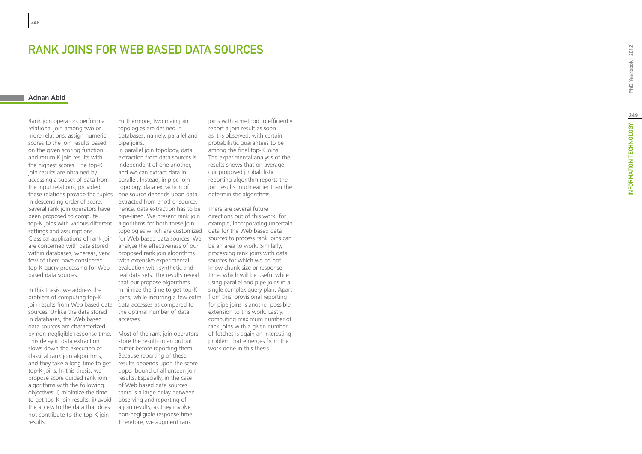# RANK JOINS FOR WEB BASED DATA SOURCES<br>Adnan Abid

Rank join operators perform a relational join among two or more relations, assign numeric scores to the join results based on the given scoring function and return K join results with the highest scores. The top-K join results are obtained by accessing a subset of data from the input relations, provided these relations provide the tuples in descending order of score. Several rank join operators have been proposed to compute top-K joins with various different settings and assumptions. are concerned with data stored within databases, whereas, very few of them have considered top-K query processing for Web based data sources.

In this thesis, we address the problem of computing top-K join results from Web based data sources. Unlike the data stored in databases, the Web based data sources are characterized by non-negligible response time. Most of the rank join operators This delay in data extraction slows down the execution of classical rank join algorithms, and they take a long time to get top-K joins. In this thesis, we propose score guided rank join algorithms with the following objectives: i) minimize the time to get top-K join results; ii) avoid the access to the data that does not contribute to the top-K join results.

Furthermore, two main join topologies are defined in databases, namely, parallel and pipe joins.

In parallel join topology, data extraction from data sources is independent of one another, and we can extract data in parallel. Instead, in pipe join topology, data extraction of one source depends upon data extracted from another source, hence, data extraction has to be pipe-lined. We present rank join algorithms for both these join topologies which are customized data for the Web based data analyse the effectiveness of our proposed rank join algorithms with extensive experimental evaluation with synthetic and real data sets. The results reveal that our propose algorithms minimize the time to get top-K joins, while incurring a few extra data accesses as compared to the optimal number of data accesses.

store the results in an output buffer before reporting them. Because reporting of these results depends upon the score upper bound of all unseen join results. Especially, in the case of Web based data sources there is a large delay between observing and reporting of a join results, as they involve non-negligible response time. Therefore, we augment rank

joins with a method to efficiently report a join result as soon as it is observed, with certain probabilistic guarantees to be among the final top-K joins. The experimental analysis of the results shows that on average our proposed probabilistic reporting algorithm reports the join results much earlier than the deterministic algorithms.

Classical applications of rank join for Web based data sources. We sources to process rank joins can There are several future directions out of this work, for example, incorporating uncertain be an area to work. Similarly, processing rank joins with data sources for which we do not know chunk size or response time, which will be useful while using parallel and pipe joins in a single complex query plan. Apart from this, provisional reporting for pipe joins is another possible extension to this work. Lastly, computing maximum number of rank joins with a given number of fetches is again an interesting problem that emerges from the work done in this thesis.

PhD Yearbook | 2012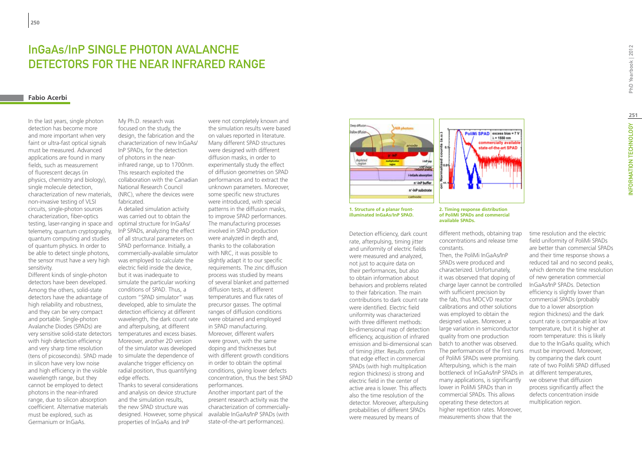## InGaAs/InP SINGLE PHOTON AVALANCHE DETECTORS FOR THE NEAR INFRARED RANGE

#### **Fabio Acerbi**

In the last years, single photon detection has become more and more important when very faint or ultra-fast optical signals must be measured. Advanced applications are found in many fields, such as measurement of fluorescent decays (in physics, chemistry and biology), single molecule detection, characterization of new materials, non-invasive testing of VLSI circuits, single-photon sources characterization, fiber-optics testing, laser-ranging in space and telemetry, quantum cryptography, quantum computing and studies of quantum physics. In order to be able to detect single photons, the sensor must have a very high sensitivity.

Different kinds of single-photon detectors have been developed. Among the others, solid-state detectors have the advantage of high reliability and robustness, and they can be very compact and portable. Single-photon Avalanche Diodes (SPADs) are very sensitive solid-state detectors with high detection efficiency and very sharp time resolution (tens of picoseconds). SPAD made in silicon have very low noise and high efficiency in the visible wavelength range, but they cannot be employed to detect photons in the near-infrared range, due to silicon absorption coefficient. Alternative materials must be explored, such as Germanium or InGaAs.

My Ph.D. research was focused on the study, the design, the fabrication and the characterization of new InGaAs/ InP SPADs, for the detection of photons in the nearinfrared range, up to 1700nm. This research exploited the collaboration with the Canadian National Research Council (NRC), where the devices were fabricated.

A detailed simulation activity was carried out to obtain the optimal structure for InGaAs/ InP SPADs, analyzing the effect of all structural parameters on SPAD performance. Initially, a commercially-available simulator was employed to calculate the electric field inside the device, but it was inadequate to simulate the particular working conditions of SPAD. Thus, a custom "SPAD simulator" was developed, able to simulate the detection efficiency at different wavelength, the dark count rate and afterpulsing, at different temperatures and excess biases. Moreover, another 2D version of the simulator was developed to simulate the dependence of avalanche trigger efficiency on radial position, thus quantifying edge effects.

Thanks to several considerations and analysis on device structure and the simulation results, the new SPAD structure was properties of InGaAs and InP

were not completely known and the simulation results were based on values reported in literature. Many different SPAD structures were designed with different diffusion masks, in order to experimentally study the effect of diffusion geometries on SPAD performances and to extract the unknown parameters. Moreover, some specific new structures were introduced, with special patterns in the diffusion masks, to improve SPAD performances. The manufacturing processes involved in SPAD production were analyzed in depth and, thanks to the collaboration with NRC, it was possible to slightly adapt it to our specific requirements. The zinc diffusion process was studied by means of several blanket and patterned diffusion tests, at different temperatures and flux rates of precursor gasses. The optimal ranges of diffusion conditions were obtained and employed in SPAD manufacturing. Moreover, different wafers were grown, with the same doping and thicknesses but with different growth conditions in order to obtain the optimal conditions, giving lower defects concentration, thus the best SPAD performances.

designed. However, some physical available InGaAs/InP SPADs (with Another important part of the present research activity was the characterization of commerciallystate-of-the-art performances).



**1. Structure of a planar frontilluminated InGaAs/InP SPAD.**

Detection efficiency, dark count rate, afterpulsing, timing jitter and uniformity of electric fields were measured and analyzed, not just to acquire data on their performances, but also to obtain information about behaviors and problems related to their fabrication. The main contributions to dark count rate were identified. Electric field uniformity was characterized with three different methods: bi-dimensional map of detection efficiency, acquisition of infrared emission and bi-dimensional scan of timing jitter. Results confirm that edge effect in commercial SPADs (with high multiplication region thickness) is strong and electric field in the center of active area is lower. This affects also the time resolution of the detector. Moreover, afterpulsing probabilities of different SPADs were measured by means of

#### **2. Timing response distribution of PoliMi SPADs and commercial available SPADs.**

concentrations and release time constants.

SPADs were produced and characterized. Unfortunately, it was observed that doping of charge layer cannot be controlled with sufficient precision by the fab, thus MOCVD reactor calibrations and other solutions was employed to obtain the designed values. Moreover, a large variation in semiconductor quality from one production batch to another was observed. The performances of the first runs of PoliMi SPADs were promising. Afterpulsing, which is the main bottleneck of InGaAs/InP SPADs in many applications, is significantly lower in PoliMi SPADs than in commercial SPADs. This allows operating these detectors at higher repetition rates. Moreover, measurements show that the

field uniformity of PoliMi SPADs are better than commercial SPADs and their time response shows a reduced tail and no second peaks, which demote the time resolution of new generation commercial InGaAs/InP SPADs. Detection efficiency is slightly lower than commercial SPADs (probably due to a lower absorption region thickness) and the dark count rate is comparable at low temperature, but it is higher at room temperature: this is likely due to the InGaAs quality, which must be improved. Moreover, by comparing the dark count rate of two PoliMi SPAD diffused at different temperatures, we observe that diffusion process significantly affect the defects concentration inside multiplication region.

time resolution and the electric

PoliMi SPAD excess bias = 7 V  $\lambda$  = 1550 nm rcially avai state-of-the-art SPAD

different methods, obtaining trap

Then, the PoliMi InGaAs/InP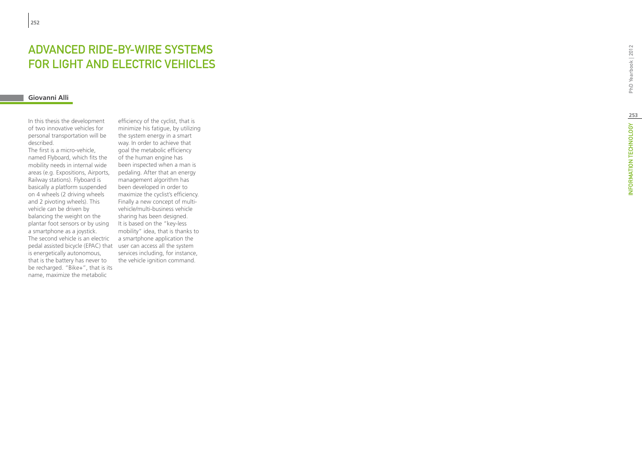# **ADVAN(<br>FOR LIG<br><sup>Giovanni Alli**</sup> ED RIDE-BY-WIRE SYSTEMS t FOR LIGHT AND ELECTRIC VEHICLES

In this thesis the development of two innovative vehicles for personal transportation will be described.

The first is a micro-vehicle, named Flyboard, which fits the mobility needs in internal wide areas (e.g. Expositions, Airports, Railway stations). Flyboard is basically a platform suspended on 4 wheels (2 driving wheels and 2 pivoting wheels). This vehicle can be driven by balancing the weight on the plantar foot sensors or by using a smartphone as a joystick. The second vehicle is an electric a smartphone application the pedal assisted bicycle (EPAC) that user can access all the system is energetically autonomous, that is the battery has never to be recharged. "Bike+", that is its name, maximize the metabolic

efficiency of the cyclist, that is minimize his fatigue, by utilizing the system energy in a smart way. In order to achieve that goal the metabolic efficiency of the human engine has been inspected when a man is pedaling. After that an energy management algorithm has been developed in order to maximize the cyclist's efficiency. Finally a new concept of multivehicle/multi-business vehicle sharing has been designed. It is based on the "key-less mobility" idea, that is thanks to services including, for instance, the vehicle ignition command.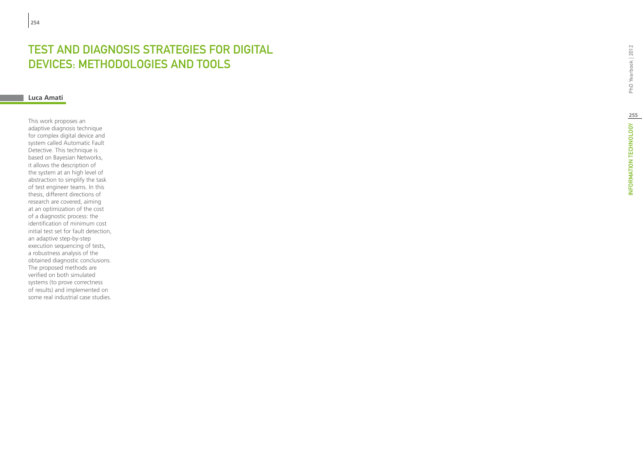## TEST AND DIAGNOSIS STRATEGIES FOR DIO DEVICES: METHODOLOGIES AND TOOLS t

## **Luca Amati**

This work proposes an adaptive diagnosis technique for complex digital device and system called Automatic Fault Detective. This technique is based on Bayesian Networks, it allows the description of the system at an high level of abstraction to simplify the task of test engineer teams. In this thesis, different directions of research are covered, aiming at an optimization of the cost of a diagnostic process: the identification of minimum cost initial test set for fault detection, an adaptive step-by-step execution sequencing of tests, a robustness analysis of the obtained diagnostic conclusions. The proposed methods are verified on both simulated systems (to prove correctness of results) and implemented on some real industrial case studies.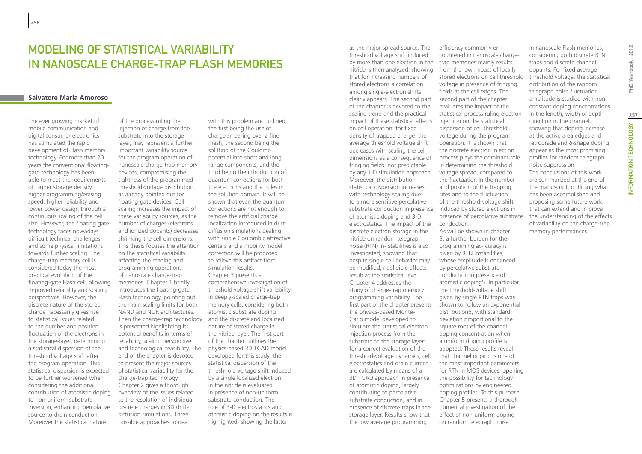## MODELING OF STATISTICAL VARIABILITY in Nanoscale Charge-trap Flash Memories

## **Salvatore Maria Amoroso**

The ever growing market of mobile communication and digital consumer electronics has stimulated the rapid development of Flash memory technology. For more than 20 years the conventional floatinggate technology has been able to meet the requirements of higher storage density, higher programming/erasing speed, higher reliability and lower power design through a continuous scaling of the cell size. However, the floating gate technology faces nowadays difficult technical challenges and some physical limitations towards further scaling. The charge-trap memory cell is considered today the most practical evolution of the floating-gate Flash cell, allowing improved reliability and scaling perspectives. However, the discrete nature of the stored charge necessarily gives rise to statistical issues related to the number and position fluctuation of the electrons in the storage-layer, determining a statistical dispersion of the threshold voltage shift after the program operation. This statistical dispersion is expected to be further worsened when considering the additional contribution of atomistic doping to non-uniform substrate inversion, enhancing percolative source-to-drain conduction. Moreover the statistical nature

of the process ruling the injection of charge from the substrate into the storage layer, may represent a further important variability source for the program operation of nanoscale charge-trap memory devices, compromising the tightness of the programmed threshold-voltage distribution, as already pointed out for floating-gate devices. Cell scaling increases the impact of these variability sources, as the number of charges (electrons and ionized dopants) decreases shrinking the cell dimensions. This thesis focuses the attention on the statistical variability affecting the reading and programming operations of nanoscale charge-trap memories. Chapter 1 briefly introduces the floating-gate Flash technology, pointing out the main scaling limits for both NAND and NOR architectures. Then the charge-trap technology is presented highlighting its potential benefits in terms of reliability, scaling perspective and technological feasibility. The physics-based 3D TCAD model end of the chapter is devoted to present the major sources of statistical variability for the charge-trap technology. Chapter 2 gives a thorough overview of the issues related to the resolution of individual discrete charges in 3D driftdiffusion simulations. Three possible approaches to deal

with this problem are outlined, the first being the use of charge smearing over a fine mesh, the second being the splitting of the Coulomb potential into short and long range components, and the third being the introduction of quantum corrections for both the electrons and the holes in the solution domain. It will be shown that even the quantum corrections are not enough to remove the artificial charge localization introduced in driftdiffusion simulations dealing with single Coulombic attractive centers and a mobility model correction will be proposed to relieve this artifact from simulation results. Chapter 3 presents a comprehensive investigation of threshold voltage shift variability in deeply-scaled charge-trap memory cells, considering both atomistic substrate doping and the discrete and localized nature of stored charge in the nitride layer. The first part of the chapter outlines the developed for this study: the statistical dispersion of the thresh- old voltage shift induced by a single localized electron in the nitride is evaluated in presence of non-uniform substrate conduction. The role of 3-D electrostatics and atomistic doping on the results is highlighted, showing the latter

as the major spread source. The threshold voltage shift induced by more than one electron in the nitride is then analyzed, showing that for increasing numbers of stored electrons a correlation among single-electron shifts clearly appears. The second part of the chapter is devoted to the scaling trend and the practical impact of these statistical effects on cell operation: for fixed density of trapped charge, the average threshold voltage shift decreases with scaling the cell dimensions as a consequence of fringing fields, not predictable by any 1-D simulation approach. Moreover, the distribution statistical dispersion increases with technology scaling due to a more sensitive percolative substrate conduction in presence induced by stored electrons in of atomistic doping and 3-D electrostatics. The impact of the discrete electron storage in the nitride on random telegraph noise (RTN) in- stabilities is also investigated, showing that despite single cell behavior may be modified, negligible effects result at the statistical level. Chapter 4 addresses the study of charge-trap memory programming variability. The first part of the chapter presents the physics-based Monte-Carlo model developed to simulate the statistical electron injection process from the substrate to the storage layer: for a correct evaluation of the threshold-voltage dynamics, cell electrostatics and drain current are calculated by means of a 3D TCAD approach in presence of atomistic doping, largely contributing to percolative substrate conduction, and in presence of discrete traps in the storage layer. Results show that the low average programming

efficiency commonly encountered in nanoscale chargetrap memories mainly results from the low impact of locally stored electrons on cell threshold voltage in presence of fringing fields at the cell edges. The second part of the chapter evaluates the impact of the statistical process ruling electron injection on the statistical dispersion of cell threshold voltage during the program operation: it is shown that the discrete electron injection process plays the dominant role in determining the threshold voltage spread, compared to the fluctuation in the number and position of the trapping sites and to the fluctuation of the threshold-voltage shift presence of percolative substrate conduction. As will be shown in chapter 3, a further burden for the programming ac- curacy is given by RTN instabilities, whose amplitude is enhanced by percolative substrate conduction in presence of atomistic doping5. In particular, the threshold-voltage shift given by single RTN traps was shown to follow an exponential distribution6, with standard deviation proportional to the square root of the channel doping concentration when a uniform doping profile is adopted. These results reveal that channel doping is one of the most important parameters for RTN in MOS devices, opening the possibility for technology optimizations by engineered doping profiles. To this purpose Chapter 5 presents a thorough numerical investigation of the effect of non-uniform doping on random telegraph noise

in nanoscale Flash memories, considering both discrete RTN traps and discrete channel dopants. For fixed average threshold voltage, the statistical distribution of the random telegraph noise fluctuation amplitude is studied with nonconstant doping concentrations in the length, width or depth direction in the channel, showing that doping increase at the active area edges and retrograde and δ-shape doping appear as the most promising profiles for random telegraph noise suppression. The conclusions of this work are summarized at the end of the manuscript, outlining what has been accomplished and proposing some future work that can extend and improve the understanding of the effects of variability on the charge-trap memory performances.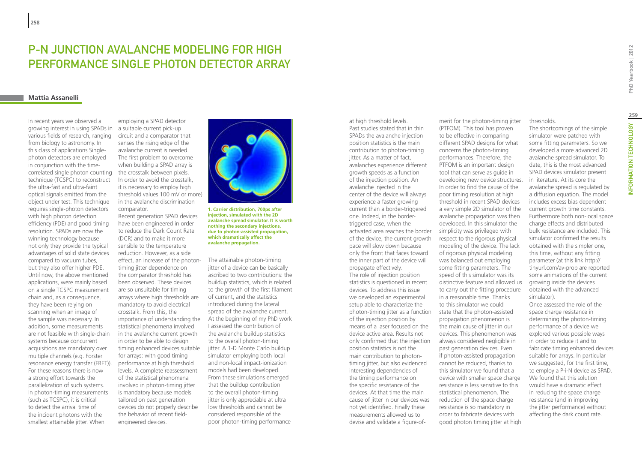## P-N Junction Avalanche Modeling for High Performance Single Photon Detector Array

#### **Mattia Assanelli**

**258**

In recent years we observed a growing interest in using SPADs in various fields of research, ranging from biology to astronomy. In this class of applications Singlephoton detectors are employed in conjunction with the timecorrelated single photon counting technique (TCSPC) to reconstruct the ultra-fast and ultra-faint optical signals emitted from the object under test. This technique requires single-photon detectors with high photon detection efficiency (PDE) and good timing resolution. SPADs are now the winning technology because not only they provide the typical advantages of solid state devices compared to vacuum tubes, but they also offer higher PDE. Until now, the above mentioned applications, were mainly based on a single TCSPC measurement chain and, as a consequence, they have been relying on scanning when an image of the sample was necessary. In addition, some measurements are not feasible with single-chain systems because concurrent acquisitions are mandatory over multiple channels (e.g. Forster resonance energy transfer (FRET)). For these reasons there is now a strong effort towards the parallelization of such systems. In photon-timing measurements (such as TCSPC), it is critical to detect the arrival time of the incident photons with the smallest attainable jitter. When

employing a SPAD detector a suitable current pick-up circuit and a comparator that senses the rising edge of the avalanche current is needed. The first problem to overcome when building a SPAD array is the crosstalk between pixels. In order to avoid the crosstalk, it is necessary to employ high threshold values 100 mV or more) in the avalanche discrimination comparator.

Recent generation SPAD devices have been engineered in order to reduce the Dark Count Rate (DCR) and to make it more sensible to the temperature reduction. However, as a side effect, an increase of the photontiming jitter dependence on the comparator threshold has been observed. These devices are so unsuitable for timing arrays where high thresholds are mandatory to avoid electrical crosstalk. From this, the importance of understanding the statistical phenomena involved in the avalanche current growth in order to be able to design timing enhanced devices suitable for arrays: with good timing performance at high threshold levels. A complete reassessment of the statistical phenomena involved in photon-timing jitter is mandatory because models tailored on past generation devices do not properly describe the behavior of recent fieldengineered devices.



**1. Carrier distribution, 700ps after injection, simulated with the 2D avalanche spread simulator. It is worth nothing the secondary injections, due to photon-assisted propagation, which dramatically affect the avalanche propagation.**

The attainable photon-timing jitter of a device can be basically ascribed to two contributions: the buildup statistics, which is related to the growth of the first filament of current, and the statistics introduced during the lateral spread of the avalanche current. At the beginning of my PhD work I assessed the contribution of the avalanche buildup statistics to the overall photon-timing jitter. A 1-D Monte Carlo buildup simulator employing both local and non-local impact-ionization models had been developed. From these simulations emerged that the buildup contribution to the overall photon-timing jitter is only appreciable at ultra low thresholds and cannot be considered responsible of the poor photon-timing performance

at high threshold levels. Past studies stated that in thin SPADs the avalanche injection position statistics is the main contribution to photon-timing jitter. As a matter of fact, avalanches experience different growth speeds as a function of the injection position. An avalanche injected in the center of the device will always experience a faster growing current than a border-triggered one. Indeed, in the bordertriggered case, when the activated area reaches the border of the device, the current growth pace will slow down because only the front that faces toward the inner part of the device will propagate effectively. The role of injection position statistics is questioned in recent devices. To address this issue we developed an experimental setup able to characterize the photon-timing jitter as a function of the injection position by means of a laser focused on the device active area. Results not only confirmed that the injection position statistics is not the main contribution to photontiming jitter, but also evidenced interesting dependencies of the timing performance on the specific resistance of the devices. At that time the main cause of jitter in our devices was not yet identified. Finally these measurements allowed us to devise and validate a figure-of-

merit for the photon-timing jitter (PTFOM). This tool has proven to be effective in comparing different SPAD designs for what concerns the photon-timing performances. Therefore, the PTFOM is an important design tool that can serve as guide in developing new device structures. In order to find the cause of the poor timing resolution at high threshold in recent SPAD devices a very simple 2D simulator of the avalanche propagation was then developed. In this simulator the simplicity was privileged with respect to the rigorous physical modeling of the device. The lack of rigorous physical modeling was balanced out employing some fitting parameters. The speed of this simulator was its distinctive feature and allowed us to carry out the fitting procedure in a reasonable time. Thanks to this simulator we could state that the photon-assisted propagation phenomenon is the main cause of jitter in our devices. This phenomenon was always considered negligible in past generation devices. Even if photon-assisted propagation cannot be reduced, thanks to this simulator we found that a device with smaller space charge resistance is less sensitive to this statistical phenomenon. The reduction of the space charge resistance is so mandatory in order to fabricate devices with good photon timing jitter at high

thresholds.

The shortcomings of the simple simulator were patched with some fitting parameters. So we developed a more advanced 2D avalanche spread simulator. To date, this is the most advanced SPAD devices simulator present in literature. At its core the avalanche spread is regulated by a diffusion equation. The model includes excess bias dependent current growth time constants. Furthermore both non-local space charge effects and distributed bulk resistance are included. This simulator confirmed the results obtained with the simpler one, this time, without any fitting parameter (at this link http:// tinyurl.com/av-prop are reported some animations of the current growing inside the devices obtained with the advanced simulator). Once assessed the role of the space charge resistance in determining the photon-timing performance of a device we explored various possible ways in order to reduce it and to fabricate timing enhanced devices suitable for arrays. In particular we suggested, for the first time, to employ a P-i-N device as SPAD. We found that this solution would have a dramatic effect in reducing the space charge resistance (and in improving the jitter performance) without affecting the dark count rate.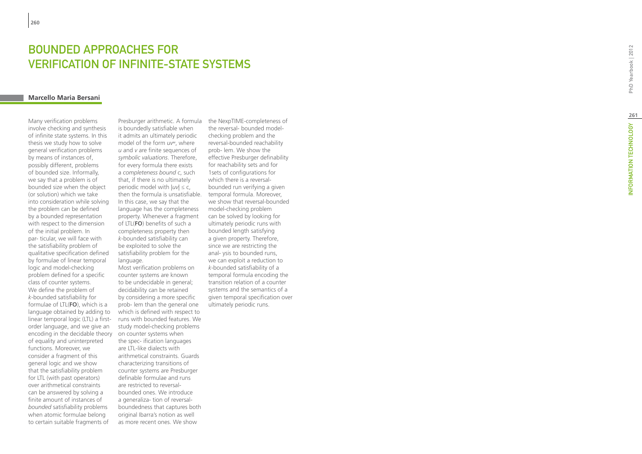# **BOUNDED APPROACHES FOR<br>VERIFICATION OF INFINITE-STATE<br><sub>Marcello Maria Bersani</sub> SYSTEMS** t

Many verification problems involve checking and synthesis of infinite state systems. In this thesis we study how to solve general verification problems by means of instances of, possibly different, problems of bounded size. Informally, we say that a problem is of bounded size when the object (or solution) which we take into consideration while solving the problem can be defined by a bounded representation with respect to the dimension of the initial problem. In par- ticular, we will face with the satisfiability problem of qualitative specification defined by formulae of linear temporal logic and model-checking problem defined for a specific class of counter systems. We define the problem of *k*-bounded satisfiability for formulae of LTL(**FO**), which is a language obtained by adding to linear temporal logic (LTL) a firstorder language, and we give an encoding in the decidable theory of equality and uninterpreted functions. Moreover, we consider a fragment of this general logic and we show that the satisfiability problem for LTL (with past operators) over arithmetical constraints can be answered by solving a finite amount of instances of *bounded* satisfiability problems when atomic formulae belong to certain suitable fragments of

Presburger arithmetic. A formula is boundedly satisfiable when it admits an ultimately periodic model of the form *uv*<sup>ω</sup>, where *u* and *v* are finite sequences of *symbolic valuations*. Therefore, for every formula there exists a *completeness bound c*, such that, if there is no ultimately periodic model with |*uv*| ≤ c, then the formula is unsatisfiable. In this case, we say that the language has the completeness property. Whenever a fragment of LTL(**FO**) benefits of such a completeness property then *k*-bounded satisfiability can be exploited to solve the satisfiability problem for the language.

Most verification problems on counter systems are known to be undecidable in general; decidability can be retained by considering a more specific prob- lem than the general one which is defined with respect to runs with bounded features. We study model-checking problems on counter systems when the spec- ification languages are LTL-like dialects with arithmetical constraints. Guards characterizing transitions of counter systems are Presburger definable formulae and runs are restricted to reversalbounded ones. We introduce a generaliza- tion of reversalboundedness that captures both original Ibarra's notion as well as more recent ones. We show

the NexpTIME-completeness of the reversal- bounded modelchecking problem and the reversal-bounded reachability prob- lem. We show the effective Presburger definability for reachability sets and for 1sets of configurations for which there is a reversalbounded run verifying a given temporal formula. Moreover, we show that reversal-bounded model-checking problem can be solved by looking for ultimately periodic runs with bounded length satisfying a given property. Therefore, since we are restricting the anal- ysis to bounded runs, we can exploit a reduction to *k*-bounded satisfiability of a temporal formula encoding the transition relation of a counter systems and the semantics of a given temporal specification over ultimately periodic runs.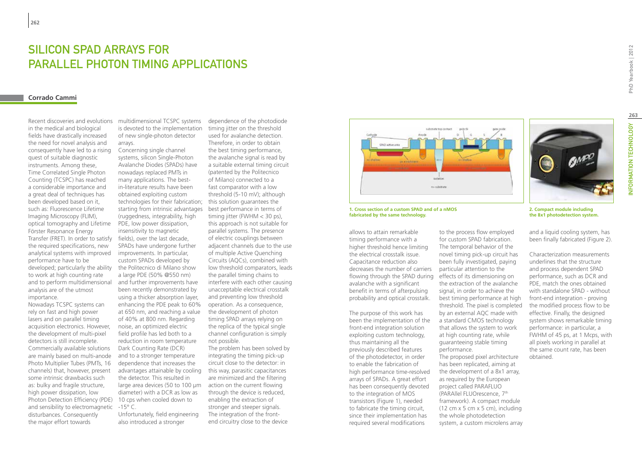## Silicon SPAD Arrays for Parallel Photon Timing Applications

#### **Corrado Cammi**

Recent discoveries and evolutions in the medical and biological fields have drastically increased the need for novel analysis and consequently have led to a rising quest of suitable diagnostic instruments. Among these, Time Correlated Single Photon Counting (TCSPC) has reached a considerable importance and a great deal of techniques has been developed based on it, such as: Fluorescence Lifetime Imaging Microscopy (FLIM), optical tomography and Lifetime Förster Resonance Energy Transfer (FRET). In order to satisfy fields), over the last decade, the required specifications, new analytical systems with improved performance have to be developed; particularly the ability to work at high counting rate and to perform multidimensional analysis are of the utmost importance. Nowadays TCSPC systems can

rely on fast and high power lasers and on parallel timing acquisition electronics. However, the development of multi-pixel detectors is still incomplete. Commercially available solutions are mainly based on multi-anode Photo Multiplier Tubes (PMTs, 16 channels) that, however, present some intrinsic drawbacks such as: bulky and fragile structure, high power dissipation, low Photon Detection Efficiency (PDE) and sensibility to electromagnetic disturbances. Consequently the major effort towards

multidimensional TCSPC systems is devoted to the implementation of new single-photon detector arrays.

Concerning single channel systems, silicon Single-Photon Avalanche Diodes (SPADs) have nowadays replaced PMTs in many applications. The bestin-literature results have been obtained exploiting custom technologies for their fabrication; this solution guarantees the starting from intrinsic advantages best performance in terms of (ruggedness, integrability, high PDE, low power dissipation, insensitivity to magnetic SPADs have undergone further improvements. In particular, custom SPADs developed by the Politecnico di Milano show a large PDE (50% @550 nm) and further improvements have been recently demonstrated by using a thicker absorption layer, enhancing the PDE peak to 60% at 650 nm, and reaching a value of 40% at 800 nm. Regarding noise, an optimized electric field profile has led both to a reduction in room temperature Dark Counting Rate (DCR) and to a stronger temperature dependence that increases the advantages attainable by cooling the detector. This resulted in large area devices (50 to 100 µm action on the current flowing diameter) with a DCR as low as 10 cps when cooled down to  $-15^{\circ}$  C.

Unfortunately, field engineering also introduced a stronger

dependence of the photodiode timing jitter on the threshold used for avalanche detection. Therefore, in order to obtain the best timing performance, the avalanche signal is read by a suitable external timing circuit (patented by the Politecnico of Milano) connected to a fast comparator with a low threshold (5-10 mV); although timing jitter (FWHM < 30 ps), this approach is not suitable for parallel systems. The presence of electric couplings between adjacent channels due to the use of multiple Active Quenching Circuits (AQCs), combined with low threshold comparators, leads the parallel timing chains to interfere with each other causing unacceptable electrical crosstalk and preventing low threshold operation. As a consequence, the development of photon timing SPAD arrays relying on the replica of the typical single channel configuration is simply not possible.

The problem has been solved by integrating the timing pick-up circuit close to the detector: in this way, parasitic capacitances are minimized and the filtering through the device is reduced, enabling the extraction of stronger and steeper signals. The integration of the frontend circuitry close to the device



**1. Cross section of a custom SPAD and of a nMOS fabricated by the same technology.**

allows to attain remarkable timing performance with a higher threshold hence limiting the electrical crosstalk issue. Capacitance reduction also decreases the number of carriers particular attention to the flowing through the SPAD during effects of its dimensioning on avalanche with a significant benefit in terms of afterpulsing probability and optical crosstalk.

The purpose of this work has been the implementation of the front-end integration solution exploiting custom technology, thus maintaining all the previously described features of the photodetector, in order to enable the fabrication of high performance time-resolved arrays of SPADs. A great effort has been consequently devoted to the integration of MOS transistors (Figure 1), needed to fabricate the timing circuit, since their implementation has required several modifications

to the process flow employed for custom SPAD fabrication. The temporal behavior of the novel timing pick-up circuit has been fully investigated, paying the extraction of the avalanche signal, in order to achieve the best timing performance at high threshold. The pixel is completed by an external AQC made with a standard CMOS technology that allows the system to work at high counting rate, while guaranteeing stable timing performance. The proposed pixel architecture has been replicated, aiming at the development of a 8x1 array, as required by the European project called PARAFLUO (PARAllel FLUOrescence, 7th framework). A compact module  $(12 \text{ cm} \times 5 \text{ cm} \times 5 \text{ cm})$ , including the whole photodetection system, a custom microlens array

PhD Yearbook | 2012

**2. Compact module including the 8x1 photodetection system.**

and a liquid cooling system, has been finally fabricated (Figure 2).

Characterization measurements underlines that the structure and process dependent SPAD performance, such as DCR and PDE, match the ones obtained with standalone SPAD - without front-end integration - proving the modified process flow to be effective. Finally, the designed system shows remarkable timing performance: in particular, a FWHM of 45 ps, at 1 Mcps, with all pixels working in parallel at the same count rate, has been obtained.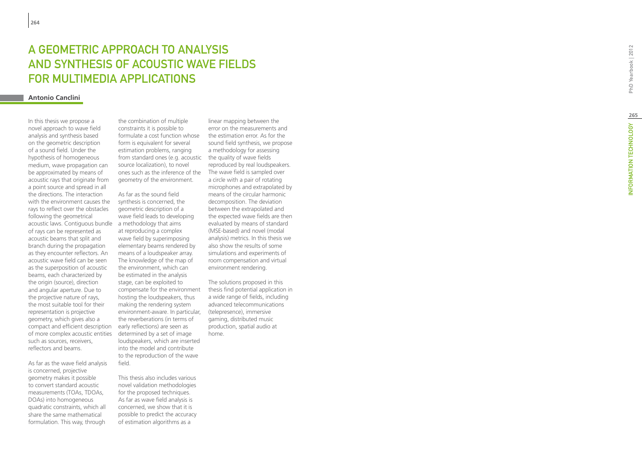# A GEOMETRIC APPROACH TO ANALYSIS AND SYNTHESIS OF ACOUSTIC WAVE FIELDS FOR MULTIMEDIA APPLICATIONS

## **Antonio Canclini**

In this thesis we propose a novel approach to wave field analysis and synthesis based on the geometric description of a sound field. Under the hypothesis of homogeneous medium, wave propagation can be approximated by means of acoustic rays that originate from a point source and spread in all the directions. The interaction with the environment causes the rays to reflect over the obstacles following the geometrical acoustic laws. Contiguous bundle of rays can be represented as acoustic beams that split and branch during the propagation as they encounter reflectors. An acoustic wave field can be seen as the superposition of acoustic beams, each characterized by the origin (source), direction and angular aperture. Due to the projective nature of rays, the most suitable tool for their representation is projective geometry, which gives also a compact and efficient description of more complex acoustic entities such as sources, receivers, reflectors and beams.

As far as the wave field analysis is concerned, projective geometry makes it possible to convert standard acoustic measurements (TOAs, TDOAs, DOAs) into homogeneous quadratic constraints, which all share the same mathematical formulation. This way, through

the combination of multiple constraints it is possible to formulate a cost function whose form is equivalent for several estimation problems, ranging from standard ones (e.g. acoustic the quality of wave fields source localization), to novel ones such as the inference of the geometry of the environment.

As far as the sound field synthesis is concerned, the geometric description of a wave field leads to developing a methodology that aims at reproducing a complex wave field by superimposing elementary beams rendered by means of a loudspeaker array. The knowledge of the map of the environment, which can be estimated in the analysis stage, can be exploited to compensate for the environment hosting the loudspeakers, thus making the rendering system environment-aware. In particular, the reverberations (in terms of early reflections) are seen as determined by a set of image loudspeakers, which are inserted into the model and contribute to the reproduction of the wave field.

This thesis also includes various novel validation methodologies for the proposed techniques. As far as wave field analysis is concerned, we show that it is possible to predict the accuracy of estimation algorithms as a

linear mapping between the error on the measurements and the estimation error. As for the sound field synthesis, we propose a methodology for assessing reproduced by real loudspeakers. The wave field is sampled over a circle with a pair of rotating microphones and extrapolated by means of the circular harmonic decomposition. The deviation between the extrapolated and the expected wave fields are then evaluated by means of standard (MSE-based) and novel (modal analysis) metrics. In this thesis we also show the results of some simulations and experiments of room compensation and virtual environment rendering.

The solutions proposed in this thesis find potential application in a wide range of fields, including advanced telecommunications (telepresence), immersive gaming, distributed music production, spatial audio at home.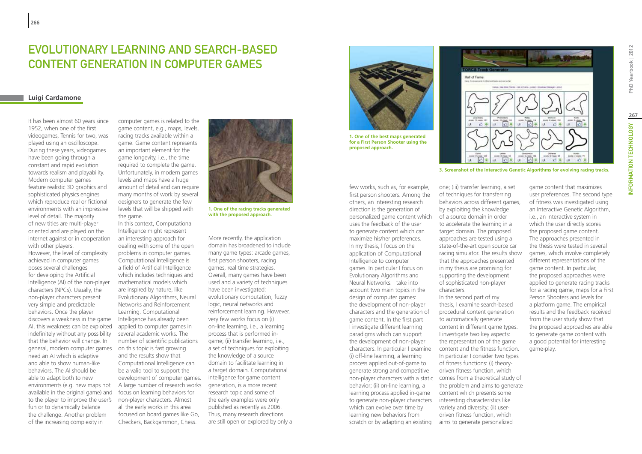## **EVOLUTIONARY LEARNING AND SEARCH-BASED** Content Generation in Computer Games

## **Luigi Cardamone**

**266**

It has been almost 60 years since 1952, when one of the first videogames, Tennis for two, was played using an oscilloscope. During these years, videogames have been going through a constant and rapid evolution towards realism and playability. Modern computer games feature realistic 3D graphics and sophisticated physics engines which reproduce real or fictional environments with an impressive level of detail. The majority of new titles are multi-player oriented and are played on the internet against or in cooperation with other players. However, the level of complexity achieved in computer games poses several challenges for developing the Artificial Intelligence (AI) of the non-player characters (NPCs). Usually, the non-player characters present very simple and predictable behaviors. Once the player discovers a weakness in the game AI, this weakness can be exploited indefinitely without any possibility that the behavior will change. In general, modern computer games need an AI which is adaptive and able to show human-like behaviors. The AI should be able to adapt both to new environments (e.g. new maps not available in the original game) and to the player to improve the user's fun or to dynamically balance the challenge. Another problem of the increasing complexity in

computer games is related to the game content, e.g., maps, levels, racing tracks available within a game. Game content represents an important element for the game longevity, i.e., the time required to complete the game. Unfortunately, in modern games levels and maps have a huge amount of detail and can require many months of work by several designers to generate the few levels that will be shipped with the game.

In this context, Computational Intelligence might represent an interesting approach for dealing with some of the open problems in computer games. Computational Intelligence is a field of Artificial Intelligence which includes techniques and mathematical models which are inspired by nature, like Evolutionary Algorithms, Neural Networks and Reinforcement Learning. Computational Intelligence has already been applied to computer games in several academic works. The number of scientific publications on this topic is fast growing and the results show that Computational Intelligence can be a valid tool to support the development of computer games. A large number of research works focus on learning behaviors for non-player characters. Almost all the early works in this area focused on board games like Go, Checkers, Backgammon, Chess.

**1. One of the racing tracks generated with the proposed approach.**

More recently, the application domain has broadened to include many game types: arcade games, first person shooters, racing games, real time strategies. Overall, many games have been used and a variety of techniques have been investigated: evolutionary computation, fuzzy logic, neural networks and reinforcement learning. However, very few works focus on (i) on-line learning, i.e., a learning process that is performed ingame; (ii) transfer learning, i.e., a set of techniques for exploiting the knowledge of a source domain to facilitate learning in a target domain. Computational intelligence for game content generation, is a more recent research topic and some of the early examples were only published as recently as 2006. Thus, many research directions are still open or explored by only a



**1. One of the best maps generated for a First Person Shooter using the proposed approach.**

few works, such as, for example, first person shooters. Among the others, an interesting research direction is the generation of personalized game content which uses the feedback of the user to generate content which can maximize his/her preferences. In my thesis, I focus on the application of Computational Intelligence to computer games. In particular I focus on Evolutionary Algorithms and Neural Networks. I take into account two main topics in the design of computer games: the development of non-player characters and the generation of game content. In the first part I investigate different learning paradigms which can support the development of non-player characters. In particular I examine (i) off-line learning, a learning process applied out-of-game to generate strong and competitive behavior; (ii) on-line learning, a learning process applied in-game to generate non-player characters which can evolve over time by learning new behaviors from scratch or by adapting an existing

one; (iii) transfer learning, a set of techniques for transferring behaviors across different games, by exploiting the knowledge of a source domain in order to accelerate the learning in a target domain. The proposed approaches are tested using a state-of-the-art open source car racing simulator. The results show that the approaches presented in my thesis are promising for supporting the development of sophisticated non-player characters.

non-player characters with a static comes from a theoretical study of In the second part of my thesis, I examine search-based procedural content generation to automatically generate content in different game types. I investigate two key aspects: the representation of the game content and the fitness function. In particular I consider two types of fitness functions: (i) theorydriven fitness function, which the problem and aims to generate content which presents some interesting characteristics like variety and diversity; (ii) userdriven fitness function, which aims to generate personalized

game content that maximizes user preferences. The second type of fitness was investigated using an Interactive Genetic Algorithm, i.e., an interactive system in which the user directly scores the proposed game content. The approaches presented in the thesis were tested in several games, which involve completely different representations of the game content. In particular, the proposed approaches were applied to generate racing tracks for a racing game, maps for a First Person Shooters and levels for a platform game. The empirical results and the feedback received from the user study show that the proposed approaches are able to generate game content with a good potential for interesting

game-play.

Hall of Fame  $+34$ 

**3. Screenshot of the Interactive Genetic Algorithms for evolving racing tracks.**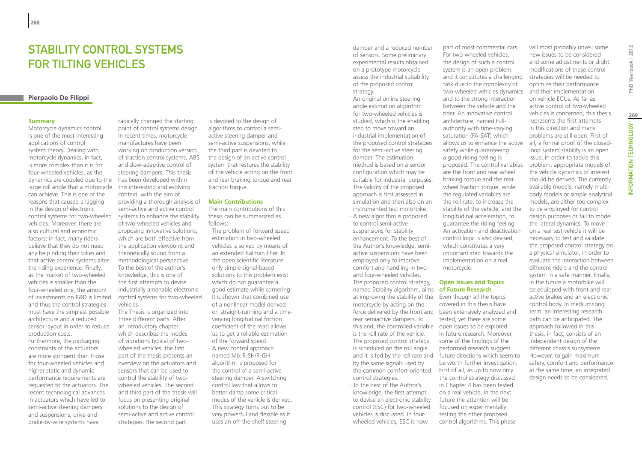## STABILITY CONTROL SYSTEMS for tilting vehicles

## **Pierpaolo De Filippi**

#### **Summary**

Motorcycle dynamics control is one of the most interesting applications of control system theory. Dealing with motorcycle dynamics, in fact, is more complex than it is for four-wheeled vehicles, as the dynamics are coupled due to the large roll angle that a motorcycle can achieve. This is one of the reasons that caused a lagging in the design of electronic control systems for two-wheeled vehicles. Moreover, there are also cultural and economic factors: in fact, many riders believe that they do not need any help riding their bikes and that active control systems alter the riding experience. Finally, as the market of two-wheeled vehicles is smaller than the four-wheeled one, the amount of investments on R&D is limited and thus the control strategies must have the simplest possible architecture and a reduced sensor layout in order to reduce production costs.

Furthermore, the packaging constraints of the actuators are more stringent than those for four-wheeled vehicles and higher static and dynamic performance requirements are requested to the actuators. The recent technological advances in actuators which have led to semi-active steering dampers and suspensions, drive and brake-by-wire systems have

radically changed the starting point of control systems design. In recent times, motorcycle manufactures have been working on production version of traction control systems, ABS and slow-adaptive control of steering dampers. This thesis has been developed within this interesting and evolving context, with the aim of providing a thorough analysis of semi-active and active control systems to enhance the stability of two-wheeled vehicles and proposing innovative solutions, which are both effective from the application viewpoint and theoretically sound from a methodological perspective. To the best of the author's knowledge, this is one of the first attempts to devise industrially amenable electronic control systems for two-wheeled vehicles.

The Thesis is organized into three different parts. After an introductory chapter which describes the modes of vibrations typical of twowheeled vehicles, the first part of the thesis presents an overview on the actuators and sensors that can be used to control the stability of twowheeled vehicles. The second and third part of the thesis will focus on presenting original solutions to the design of semi-active and active control strategies: the second part

is devoted to the design of algorithms to control a semiactive steering damper and semi-active suspensions, while the third part is devoted to the design of an active control system that restores the stability of the vehicle acting on the front and rear braking torque and rear traction torque.

#### **Main Contributions**

The main contributions of this thesis can be summarized as follows:

- ∙ The problem of forward speed estimation in two-wheeled vehicles is solved by means of an extended Kalman filter. In the open scientific literature only simple signal-based solutions to this problem exist which do not guarantee a good estimate while cornering. It is shown that combined use of a nonlinear model derived on straight-running and a timevarying longitudinal friction coefficient of the road allows us to get a reliable estimation of the forward speed.
- ∙ A new control approach named Mix R-SH/R-GH algorithm is proposed for the control of a semi-active steering damper. A switching control law that allows to better damp some critical modes of the vehicle is derived. This strategy turns out to be very powerful and flexible as it uses an off-the-shelf steering

damper and a reduced number of sensors. Some preliminary experimental results obtained on a prototype motorcycle assess the industrial suitability of the proposed control strategy.

∙ An original online steering angle estimation algorithm for two-wheeled vehicles is studied, which is the enabling step to move toward an industrial implementation of the proposed control strategies for the semi-active steering damper. The estimation method is based on a sensor configuration which may be suitable for industrial purposes. The validity of the proposed approach is first assessed in simulation and then also on an instrumented test motorbike.

∙ A new algorithm is proposed to control semi-active suspensions for stability enhancement. To the best of the Author's knowledge, semiactive suspensions have been employed only to improve comfort and handling in twoand four-wheeled vehicles. The proposed control strategy, named Stability algorithm, aims **of Future Research** at improving the stability of the Even though all the topics motorcycle by acting on the rear semiactive dampers. To this end, the controlled variable open issues to be explored is the roll rate of the vehicle. The proposed control strategy is scheduled on the roll angle and it is fed by the roll rate and by the same signals used by the common comfort-oriented control strategies.

∙ To the best of the Author's knowledge, the first attempt to devise an electronic stability control (ESC) for two-wheeled vehicles is discussed. In fourwheeled vehicles, ESC is now

part of most commercial cars. For two-wheeled vehicles, the design of such a control system is an open problem, and it constitutes a challenging task due to the complexity of two-wheeled vehicles dynamics and to the strong interaction between the vehicle and the rider. An innovative control architecture, named Fullauthority with time-varying saturation (FA-SAT) which allows us to enhance the active safety while guaranteeing a good riding feeling is proposed. The control variables are the front and rear wheel braking torque and the rear wheel traction torque, while the regulated variables are the roll rate, to increase the stability of the vehicle, and the longitudinal acceleration, to guarantee the riding feeling. An activation and deactivation control logic is also devised, which constitutes a very important step towards the implementation on a real motorcycle.

## **Open Issues and Topics**

force delivered by the front and been extensively analyzed and covered in this thesis have tested, yet there are some in future research. Moreover, some of the findings of the performed research suggest future directions which seem to be worth further investigation. First of all, as up to now only the control strategy discussed in Chapter 4 has been tested on a real vehicle, in the next future the attention will be focused on experimentally testing the other proposed control algorithms. This phase

will most probably unveil some new issues to be considered and some adjustments or slight modifications of these control strategies will be needed to optimize their performance and their implementation on vehicle ECUs. As far as active control of two-wheeled vehicles is concerned, this thesis represents the first attempts in this direction and many problems are still open. First of all, a formal proof of the closedloop system stability is an open issue. In order to tackle this problem, appropriate models of the vehicle dynamics of interest should be derived. The currently available models, namely multibody models or simple analytical models, are either too complex to be employed for control design purposes or fail to model the lateral dynamics. To move on a real test vehicle it will be necessary to test and validate the proposed control strategy on a physical simulator, in order to evaluate the interaction between different riders and the control system in a safe manner. Finally, in the future a motorbike will be equipped with front and rear active brakes and an electronic control body. In medium/long term, an interesting research path can be anticipated. The approach followed in this thesis, in fact, consists of an independent design of the different chassis subsystems. However, to gain maximum safety, comfort and performance at the same time, an integrated

design needs to be considered.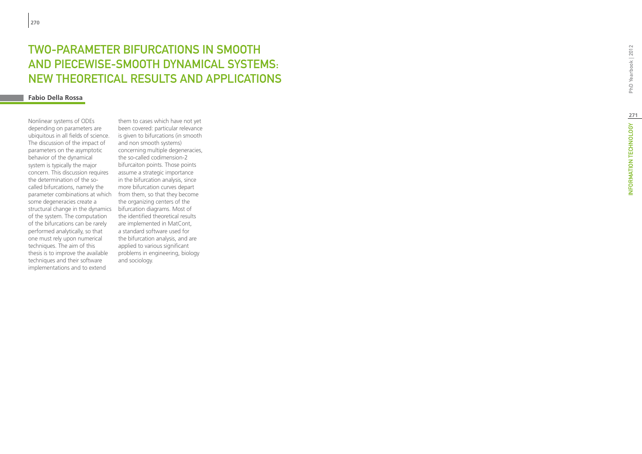## **TWO-PARA<br>AND PIECE<br>NEW THEO<br><sup>Fabio Della Rossa**</sup> ETER BIFURCATIONS IN SMOOTH t AND PIECEWISE-SMOOTH DYNAMICAL SYSTEMS: t NEW THEORETICAL RESULTS AND APPLICATIONS w

Nonlinear systems of ODEs depending on parameters are ubiquitous in all fields of science. The discussion of the impact of parameters on the asymptotic behavior of the dynamical system is typically the major concern. This discussion requires the determination of the socalled bifurcations, namely the parameter combinations at which some degeneracies create a structural change in the dynamics bifurcation diagrams. Most of of the system. The computation of the bifurcations can be rarely performed analytically, so that one must rely upon numerical techniques. The aim of this thesis is to improve the available techniques and their software implementations and to extend

them to cases which have not yet been covered: particular relevance is given to bifurcations (in smooth and non smooth systems) concerning multiple degeneracies, the so-called codimension-2 bifurcaiton points. Those points assume a strategic importance in the bifurcation analysis, since more bifurcation curves depart from them, so that they become the organizing centers of the the identified theoretical results are implemented in MatCont, a standard software used for the bifurcation analysis, and are applied to various significant problems in engineering, biology and sociology.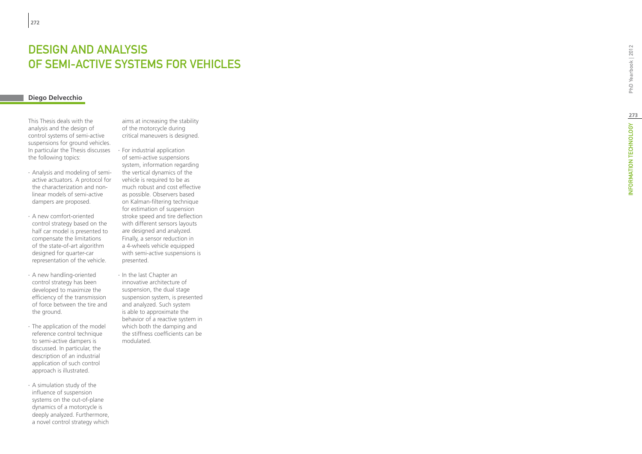## DESIGN AND ANALYSIS OF SEMI-ACTIVE SYSTEMS FOR VEHICLES t

## **Diego Delvecchio**

This Thesis deals with the analysis and the design of control systems of semi-active suspensions for ground vehicles. In particular the Thesis discusses the following topics:

- ∙ Analysis and modeling of semiactive actuators. A protocol for the characterization and nonlinear models of semi-active dampers are proposed.
- ∙ A new comfort-oriented control strategy based on the half car model is presented to compensate the limitations of the state-of-art algorithm designed for quarter-car representation of the vehicle.
- ∙ A new handling-oriented control strategy has been developed to maximize the efficiency of the transmission of force between the tire and the ground.
- ∙ The application of the model reference control technique to semi-active dampers is discussed. In particular, the description of an industrial application of such control approach is illustrated.

∙ A simulation study of the influence of suspension systems on the out-of-plane dynamics of a motorcycle is deeply analyzed. Furthermore, a novel control strategy which aims at increasing the stability of the motorcycle during critical maneuvers is designed.

∙ For industrial application of semi-active suspensions system, information regarding the vertical dynamics of the vehicle is required to be as much robust and cost effective as possible. Observers based on Kalman-filtering technique for estimation of suspension stroke speed and tire deflection with different sensors layouts are designed and analyzed. Finally, a sensor reduction in a 4-wheels vehicle equipped with semi-active suspensions is presented.

∙ In the last Chapter an innovative architecture of suspension, the dual stage suspension system, is presented and analyzed. Such system is able to approximate the behavior of a reactive system in which both the damping and the stiffness coefficients can be modulated.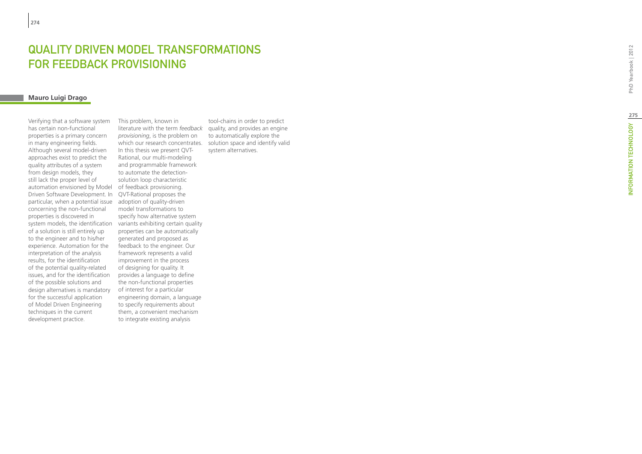# QUALITY DRIVEN MODEL TRANSFORMATIONS FOR FEEDBACK PROVISIO

## **Mauro Luigi Drago**

Verifying that a software system has certain non-functional properties is a primary concern in many engineering fields. Although several model-driven approaches exist to predict the quality attributes of a system from design models, they still lack the proper level of automation envisioned by Model Driven Software Development. In particular, when a potential issue concerning the non-functional properties is discovered in system models, the identification of a solution is still entirely up to the engineer and to his/her experience. Automation for the interpretation of the analysis results, for the identification of the potential quality-related issues, and for the identification of the possible solutions and design alternatives is mandatory for the successful application of Model Driven Engineering techniques in the current development practice.

literature with the term *feedback* quality, and provides an engine which our research concentrates. Solution space and identify valid This problem, known in *provisioning*, is the problem on In this thesis we present QVT-Rational, our multi-modeling and programmable framework to automate the detectionsolution loop characteristic of feedback provisioning. QVT-Rational proposes the adoption of quality-driven model transformations to specify how alternative system variants exhibiting certain quality properties can be automatically generated and proposed as feedback to the engineer. Our framework represents a valid improvement in the process of designing for quality. It provides a language to define the non-functional properties of interest for a particular engineering domain, a language to specify requirements about them, a convenient mechanism to integrate existing analysis

tool-chains in order to predict to automatically explore the system alternatives.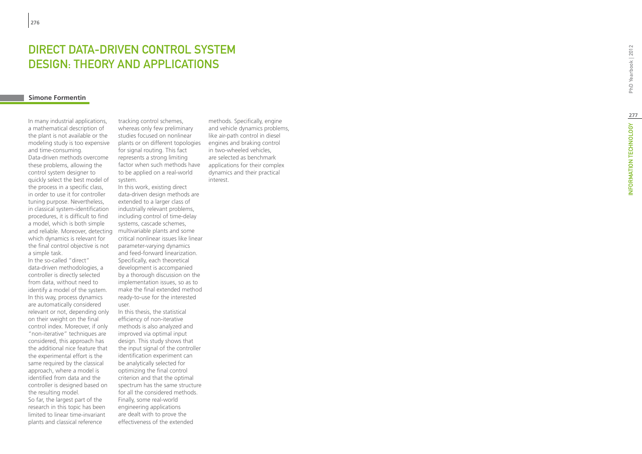# **DIRECT DAT<br>DESIGN: TH<br><sup>Simone Formentin**</sup> -DRIVEN CONTROL SYSTE t DESIGN: THEORY AND APPLICATIONS

In many industrial applications, a mathematical description of the plant is not available or the modeling study is too expensive and time-consuming. Data-driven methods overcome these problems, allowing the control system designer to quickly select the best model of the process in a specific class, in order to use it for controller tuning purpose. Nevertheless, in classical system-identification procedures, it is difficult to find a model, which is both simple and reliable. Moreover, detecting which dynamics is relevant for the final control objective is not a simple task.

In the so-called "direct" data-driven methodologies, a controller is directly selected from data, without need to identify a model of the system. In this way, process dynamics are automatically considered relevant or not, depending only on their weight on the final control index. Moreover, if only "non-iterative" techniques are considered, this approach has the additional nice feature that the experimental effort is the same required by the classical approach, where a model is identified from data and the controller is designed based on the resulting model. So far, the largest part of the research in this topic has been limited to linear time-invariant plants and classical reference

tracking control schemes, whereas only few preliminary studies focused on nonlinear plants or on different topologies for signal routing. This fact represents a strong limiting factor when such methods have to be applied on a real-world system.

In this work, existing direct data-driven design methods are extended to a larger class of industrially relevant problems, including control of time-delay systems, cascade schemes, multivariable plants and some critical nonlinear issues like linear parameter-varying dynamics and feed-forward linearization. Specifically, each theoretical development is accompanied by a thorough discussion on the implementation issues, so as to make the final extended method ready-to-use for the interested user.

In this thesis, the statistical efficiency of non-iterative methods is also analyzed and improved via optimal input design. This study shows that the input signal of the controller identification experiment can be analytically selected for optimizing the final control criterion and that the optimal spectrum has the same structure for all the considered methods. Finally, some real-world engineering applications are dealt with to prove the effectiveness of the extended

methods. Specifically, engine and vehicle dynamics problems, like air-path control in diesel engines and braking control in two-wheeled vehicles, are selected as benchmark applications for their complex dynamics and their practical interest.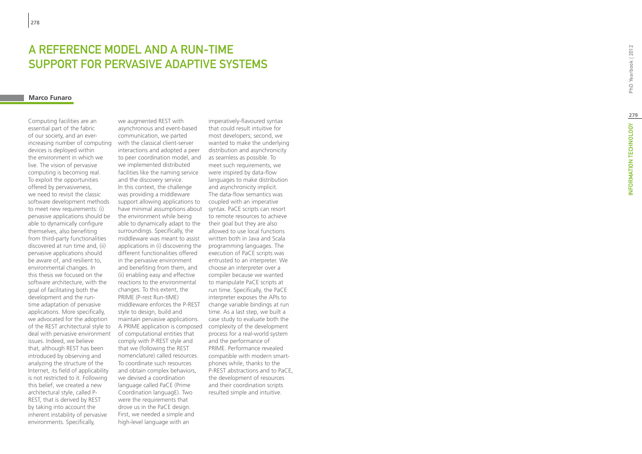## A REFERENCE MODEL AND A RUN-TIME SUPPORT FOR PERVASIVE ADAPTIVE SYSTEMS t

#### **Marco Funaro**

Computing facilities are an essential part of the fabric of our society, and an everincreasing number of computing devices is deployed within the environment in which we live. The vision of pervasive computing is becoming real. To exploit the opportunities offered by pervasiveness, we need to revisit the classic software development methods to meet new requirements: (i) pervasive applications should be able to dynamically configure themselves, also benefiting from third-party functionalities discovered at run time and, (ii) pervasive applications should be aware of, and resilient to, environmental changes. In this thesis we focused on the software architecture, with the goal of facilitating both the development and the runtime adaptation of pervasive applications. More specifically, we advocated for the adoption of the REST architectural style to deal with pervasive environment issues. Indeed, we believe that, although REST has been introduced by observing and analyzing the structure of the Internet, its field of applicability is not restricted to it. Following this belief, we created a new architectural style, called P-REST, that is derived by REST by taking into account the inherent instability of pervasive environments. Specifically,

we augmented REST with asynchronous and event-based communication, we parted with the classical client-server interactions and adopted a peer to peer coordination model, and we implemented distributed facilities like the naming service and the discovery service. In this context, the challenge was providing a middleware support allowing applications to have minimal assumptions about the environment while being able to dynamically adapt to the surroundings. Specifically, the middleware was meant to assist applications in (i) discovering the different functionalities offered in the pervasive environment and benefiting from them, and (ii) enabling easy and effective reactions to the environmental changes. To this extent, the PRIME (P-rest Run-tIME) middleware enforces the P-REST style to design, build and maintain pervasive applications. A PRIME application is composed of computational entities that comply with P-REST style and that we (following the REST nomenclature) called resources. To coordinate such resources and obtain complex behaviors, we devised a coordination language called P *a*CE (Prime Coordination languagE). Two were the requirements that drove us in the P *a*CE design. First, we needed a simple and high-level language with an

imperatively-flavoured syntax that could result intuitive for most developers; second, we wanted to make the underlying distribution and asynchronicity as seamless as possible. To meet such requirements, we were inspired by data-flow languages to make distribution and asynchronicity implicit. The data-flow semantics was coupled with an imperative syntax. P *a*CE scripts can resort to remote resources to achieve their goal but they are also allowed to use local functions written both in Java and Scala programming languages. The execution of P *a*CE scripts was entrusted to an interpreter. We choose an interpreter over a compiler because we wanted to manipulate PaCE scripts at run time. Specifically, the P *a*CE interpreter exposes the APIs to change variable bindings at run time. As a last step, we built a case study to evaluate both the complexity of the development process for a real-world system and the performance of PRIME. Performance revealed compatible with modern smartphones while, thanks to the P-REST abstractions and to P *a*CE, the development of resources and their coordination scripts resulted simple and intuitive.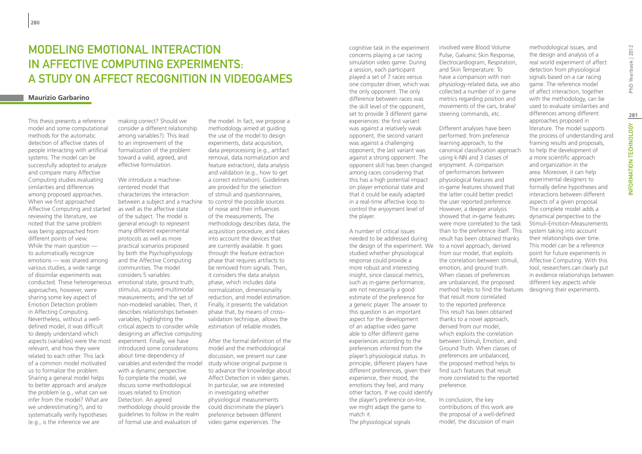## Modeling emotional interaction in affective computing experiments: a study on affect recognition in videogames

## **Maurizio Garbarino**

This thesis presents a reference model and some computational methods for the automatic detection of affective states of people interacting with artificial systems. The model can be successfully adopted to analyze and compare many Affective Computing studies evaluating similarities and differences among proposed approaches. When we first approached Affective Computing and started reviewing the literature, we noted that the same problem was being approached from different points of view. While the main question to automatically recognize emotions — was shared among various studies, a wide range of dissimilar experiments was conducted. These heterogeneous approaches, however, were sharing some key aspect of Emotion Detection problem in Affecting Computing. Nevertheless, without a welldefined model, it was difficult to deeply understand which aspects (variables) were the most relevant, and how they were related to each other. This lack of a common model motivated us to formalize the problem. Sharing a general model helps to better approach and analyze the problem (e.g., what can we infer from the model? What are we underestimating?), and to systematically verify hypotheses (e.g., is the inference we are

making correct? Should we consider a different relationship among variables?). This lead to an improvement of the formalization of the problem toward a valid, agreed, and effective formulation.

between a subject and a machine to control the possible sources We introduce a machinecentered model that characterizes the interaction as well as the affective state of the subject. The model is general enough to represent many different experimental protocols as well as more practical scenarios proposed by both the Psychophysiology and the Affective Computing communities. The model considers 5 variables: emotional state, ground truth, stimulus, acquired multimodal measurements, and the set of non-modeled variables. Then, it describes relationships between variables, highlighting the critical aspects to consider while designing an affective computing experiment. Finally, we have introduced some considerations about time dependency of variables and extended the model with a dynamic perspective. To complete the model, we discuss some methodological issues related to Emotion Detection. An agreed methodology should provide the guidelines to follow in the realm of formal use and evaluation of

the model. In fact, we propose a methodology aimed at guiding the use of the model to design experiments, data acquisition, data preprocessing (e.g., artifact removal, data normalization and feature extraction), data analysis and validation (e.g., how to get a correct estimation). Guidelines are provided for the selection of stimuli and questionnaires, of noise and their influences of the measurements. The methodology describes data, the acquisition procedure, and takes into account the devices that are currently available. It goes through the feature extraction phase that requires artifacts to be removed from signals. Then, it considers the data analysis phase, which includes data normalization, dimensionality reduction, and model estimation. Finally, it presents the validation phase that, by means of cross– validation technique, allows the estimation of reliable models.

After the formal definition of the model and the methodological discussion, we present our case study whose original purpose is to advance the knowledge about Affect Detection in video games. In particular, we are interested in investigating whether physiological measurements could discriminate the player's preference between different video game experiences. The

cognitive task in the experiment concerns playing a car racing simulation video game. During a session, each participant played a set of 7 races versus one computer driver, which was the only opponent. The only difference between races was the skill level of the opponent, set to provide 3 different game experiences: the first variant was against a relatively weak opponent, the second variant was against a challenging opponent, the last variant was against a strong opponent. The opponent skill has been changed among races considering that this has a high potential impact on player emotional state and that it could be easily adapted in a real-time affective loop to control the enjoyment level of the player.

A number of critical issues needed to be addressed during the design of the experiment. We to a novel approach, derived studied whether physiological response could provide a more robust and interesting insight, since classical metrics, such as in-game performance, are not necessarily a good estimate of the preference for a generic player. The answer to this question is an important aspect for the development of an adaptive video game able to offer different game experiences according to the preferences inferred from the player's physiological status. In principle, different players have different preferences, given their experience, their mood, the emotions they feel, and many other factors. If we could identify the player's preference on-line, we might adapt the game to match it. The physiological signals

involved were Blood Volume Pulse, Galvanic Skin Response, Electrocardiogram, Respiration, and Skin Temperature. To have a comparison with non physiology-related data, we also collected a number of in game metrics regarding position and movements of the cars, brake/ steering commands, etc.

Different analyses have been performed: from preference learning approach, to the canonical classification approach using k-NN and 3 classes of enjoyment. A comparison of performances between physiological features and in-game features showed that the latter could better predict the user reported preference. However, a deeper analysis showed that in-game features were more correlated to the task than to the preference itself. This result has been obtained thanks from our model, that exploits the correlation between stimuli, emotion, and ground truth. When classes of preferences are unbalanced, the proposed method helps to find the features that result more correlated to the reported preference. This result has been obtained thanks to a novel approach, derived from our model, which exploits the correlation between Stimuli, Emotion, and Ground Truth. When classes of preferences are unbalanced, the proposed method helps to find such features that result more correlated to the reported preference.

In conclusion, the key contributions of this work are the proposal of a well-defined model, the discussion of main

methodological issues, and the design and analysis of a real world experiment of affect detection from physiological signals based on a car racing game. The reference model of affect interaction, together with the methodology, can be used to evaluate similarities and differences among different approaches proposed in literature. The model supports the process of understanding and framing results and proposals, to help the development of a more scientific approach and organization in the area. Moreover, it can help experimental designers to formally define hypotheses and interactions between different aspects of a given proposal. The complete model adds a dynamical perspective to the Stimuli-Emotion-Measurements system taking into account their relationships over time. This model can be a reference point for future experiments in Affective Computing. With this tool, researchers can clearly put in evidence relationships between different key aspects while designing their experiments.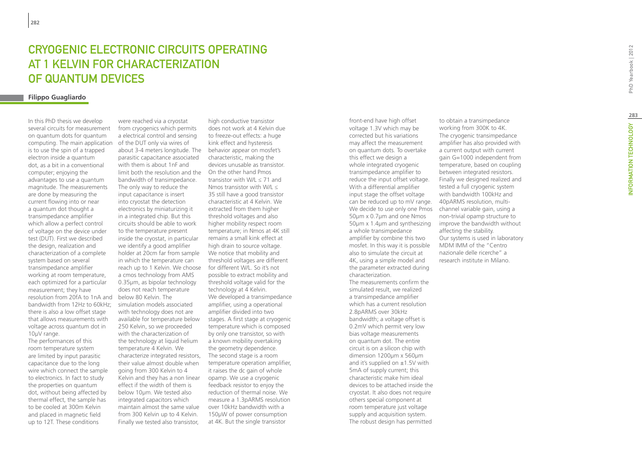## CRYOGENIC ELECTRONIC CIRCUITS OPERATING AT 1 KELVIN FOR CHARACTERIZATION OF QUANTUM DEVICES

## **Filippo Guagliardo**

In this PhD thesis we develop several circuits for measurement on quantum dots for quantum computing. The main application is to use the spin of a trapped electron inside a quantum dot, as a bit in a conventional computer; enjoying the advantages to use a quantum magnitude. The measurements are done by measuring the current flowing into or near a quantum dot thought a transimpedance amplifier which allow a perfect control of voltage on the device under test (DUT). First we described the design, realization and characterization of a complete system based on several transimpedance amplifier working at room temperature, each optimized for a particular measurement; they have resolution from 20fA to 1nA and below 80 Kelvin. The bandwidth from 12Hz to 60kHz; there is also a low offset stage that allows measurements with voltage across quantum dot in 10μV range.

The performances of this room temperature system are limited by input parasitic capacitance due to the long wire which connect the sample to electronics. In fact to study the properties on quantum dot, without being affected by thermal effect, the sample has to be cooled at 300m Kelvin and placed in magnetic field up to 12T. These conditions

were reached via a cryostat from cryogenics which permits a electrical control and sensing of the DUT only via wires of about 3-4 meters longitude. The behavior appear on mosfet's parasitic capacitance associated with them is about 1nF and limit both the resolution and the On the other hand Pmos bandwidth of transimpedance. The only way to reduce the input capacitance is insert into cryostat the detection electronics by miniaturizing it in a integrated chip. But this circuits should be able to work to the temperature present inside the cryostat, in particular we identify a good amplifier holder at 20cm far from sample in which the temperature can reach up to 1 Kelvin. We choose a cmos technology from AMS 0.35μm, as bipolar technology does not reach temperature simulation models associated with technology does not are available for temperature below 250 Kelvin, so we proceeded with the characterization of the technology at liquid helium temperature 4 Kelvin. We characterize integrated resistors, their value almost double when going from 300 Kelvin to 4 Kelvin and they has a non linear effect if the width of them is below 10μm. We tested also integrated capacitors which maintain almost the same value from 300 Kelvin up to 4 Kelvin. Finally we tested also transistor,

high conductive transistor does not work at 4 Kelvin due to freeze-out effects: a huge kink effect and hysteresis characteristic, making the devices unusable as transistor. transistor with W/L  $<$  71 and Nmos transistor with W/L  $\leq$ 35 still have a good transistor characteristic at 4 Kelvin. We extracted from them higher threshold voltages and also higher mobility respect room temperature; in Nmos at 4K still remains a small kink effect at high drain to source voltage. We notice that mobility and threshold voltages are different for different W/L. So it's not possible to extract mobility and threshold voltage valid for the technology at 4 Kelvin. We developed a transimpedance amplifier, using a operational amplifier divided into two stages. A first stage at cryogenic temperature which is composed by only one transistor, so with a known mobility overtaking the geometry dependence. The second stage is a room temperature operation amplifier, it raises the dc gain of whole opamp. We use a cryogenic feedback resistor to enjoy the reduction of thermal noise. We measure a 1.3pARMS resolution over 10kHz bandwidth with a 150μW of power consumption at 4K. But the single transistor

front-end have high offset voltage 1.3V which may be corrected but his variations may affect the measurement on quantum dots. To overtake this effect we design a whole integrated cryogenic transimpedance amplifier to reduce the input offset voltage. With a differential amplifier input stage the offset voltage can be reduced up to mV range. 40pARMS resolution, multi-We decide to use only one Pmos channel variable gain, using a 50μm x 0.7μm and one Nmos 50μm x 1.4μm and synthesizing a whole transimpedance amplifier by combine this two mosfet. In this way it is possible also to simulate the circuit at 4K, using a simple model and the parameter extracted during characterization. The measurements confirm the simulated result, we realized a transimpedance amplifier which has a current resolution 2.8pARMS over 30kHz bandwidth; a voltage offset is 0.2mV which permit very low bias voltage measurements on quantum dot. The entire circuit is on a silicon chip with dimension 1200μm x 560μm and it's supplied on  $±1.5V$  with 5mA of supply current; this characteristic make him ideal devices to be attached inside the cryostat. It also does not require others special component at room temperature just voltage supply and acquisition system. The robust design has permitted

to obtain a transimpedance working from 300K to 4K. The cryogenic transimpedance amplifier has also provided with a current output with current gain G=1000 independent from temperature, based on coupling between integrated resistors. Finally we designed realized and tested a full cryogenic system with bandwidth 100kHz and non-trivial opamp structure to improve the bandwidth without affecting the stability. Our systems is used in laboratory MDM IMM of the "Centro nazionale delle ricerche" a research institute in Milano.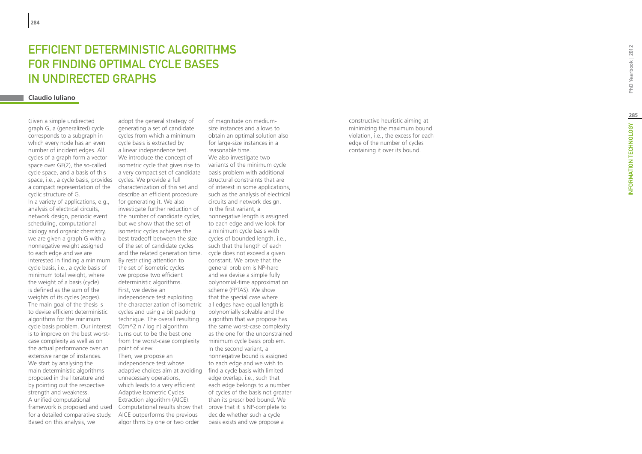## **EFFICIEN<br>FOR FIND<br>IN UNDIR<br><sup>Claudio Iuliano**</sup> ETERMINISTIC ALGORITHMS t for finding optimal cycle bases IN UNDIRECTED GRAPHS

space, i.e., a cycle basis, provides cycles. We provide a full Given a simple undirected graph G, a (generalized) cycle corresponds to a subgraph in which every node has an even number of incident edges. All cycles of a graph form a vector space over GF(2), the so-called cycle space, and a basis of this a compact representation of the cyclic structure of G. In a variety of applications, e.g., analysis of electrical circuits, network design, periodic event scheduling, computational biology and organic chemistry, we are given a graph G with a nonnegative weight assigned to each edge and we are interested in finding a minimum cycle basis, i.e., a cycle basis of minimum total weight, where the weight of a basis (cycle) is defined as the sum of the weights of its cycles (edges). The main goal of the thesis is to devise efficient deterministic algorithms for the minimum cycle basis problem. Our interest is to improve on the best worstcase complexity as well as on the actual performance over an extensive range of instances. We start by analysing the main deterministic algorithms proposed in the literature and by pointing out the respective strength and weakness. A unified computational framework is proposed and used for a detailed comparative study. Based on this analysis, we

adopt the general strategy of generating a set of candidate cycles from which a minimum cycle basis is extracted by a linear independence test. We introduce the concept of isometric cycle that gives rise to a very compact set of candidate characterization of this set and describe an efficient procedure for generating it. We also investigate further reduction of the number of candidate cycles, but we show that the set of isometric cycles achieves the best tradeoff between the size of the set of candidate cycles and the related generation time. By restricting attention to the set of isometric cycles we propose two efficient deterministic algorithms. First, we devise an independence test exploiting the characterization of isometric cycles and using a bit packing technique. The overall resulting  $O(m^2 n / log n)$  algorithm turns out to be the best one from the worst-case complexity point of view. Then, we propose an independence test whose adaptive choices aim at avoiding find a cycle basis with limited unnecessary operations, which leads to a very efficient Adaptive Isometric Cycles Extraction algorithm (AICE). Computational results show that prove that it is NP-complete to AICE outperforms the previous

algorithms by one or two order We also investigate two variants of the minimum cycle basis problem with additional structural constraints that are of interest in some applications, such as the analysis of electrical circuits and network design. In the first variant, a nonnegative length is assigned to each edge and we look for a minimum cycle basis with cycles of bounded length, i.e., such that the length of each cycle does not exceed a given constant. We prove that the general problem is NP-hard and we devise a simple fully polynomial-time approximation scheme (FPTAS). We show that the special case where all edges have equal length is polynomially solvable and the algorithm that we propose has the same worst-case complexity as the one for the unconstrained minimum cycle basis problem. In the second variant, a nonnegative bound is assigned to each edge and we wish to edge overlap, i.e., such that each edge belongs to a number of cycles of the basis not greater than its prescribed bound. We decide whether such a cycle basis exists and we propose a

of magnitude on mediumsize instances and allows to obtain an optimal solution also for large-size instances in a

reasonable time.

constructive heuristic aiming at minimizing the maximum bound violation, i.e., the excess for each edge of the number of cycles containing it over its bound.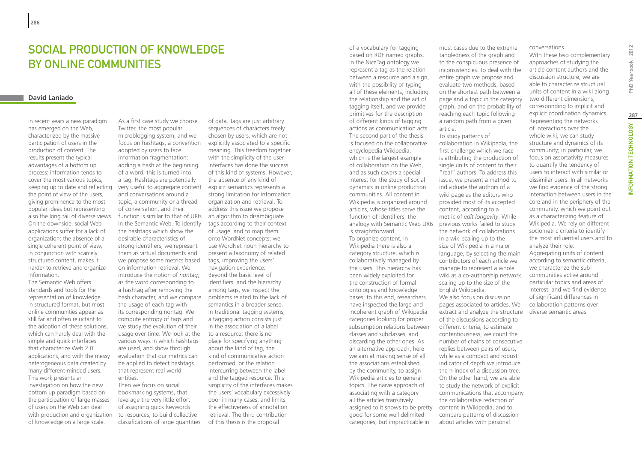## SOCIAL PRODUCTION OF KNOWLEDGE by online communities

## **David Laniado**

In recent years a new paradigm has emerged on the Web, characterized by the massive participation of users in the production of content. The results present the typical advantages of a bottom up process: information tends to cover the most various topics, keeping up to date and reflecting the point of view of the users, giving prominence to the most popular ideas but representing also the long tail of diverse views. On the downside, social Web applications suffer for a lack of organization; the absence of a single coherent point of view, in conjunction with scarcely structured content, makes it harder to retrieve and organize information.

The Semantic Web offers standards and tools for the representation of knowledge in structured format, but most online communities appear as still far and often reluctant to the adoption of these solutions, which can hardly deal with the simple and quick interfaces that characterize Web 2.0 applications, and with the messy heterogeneous data created by many different-minded users. This work presents an investigation on how the new bottom up paradigm based on the participation of large masses of users on the Web can deal with production and organization of knowledge on a large scale.

As a first case study we choose Twitter, the most popular microblogging system, and we focus on hashtags, a convention adopted by users to face information fragmentation: adding a hash at the beginning of a word, this is turned into a tag. Hashtags are potentially very useful to aggregate content and conversations around a topic, a community or a thread of conversation, and their function is similar to that of URIs in the Semantic Web. To identify the hashtags which show the desirable characteristics of strong identifiers, we represent them as virtual documents and we propose some metrics based on information retrieval. We introduce the notion of *nontag*, as the word corresponding to a hashtag after removing the hash character, and we compare the usage of each tag with its corresponding nontag. We compute entropy of tags and we study the evolution of their usage over time. We look at the various ways in which hashtags are used, and show through evaluation that our metrics can be applied to detect hashtags that represent real world entities. Then we focus on social

bookmarking systems, that leverage the very little effort of assigning quick keywords to resources, to build collective classifications of large quantities

of data. Tags are just arbitrary sequences of characters freely chosen by users, which are not explicitly associated to a specific meaning. This freedom together with the simplicity of the user interfaces has done the success of this kind of systems. However, the absence of any kind of explicit semantics represents a strong limitation for information organization and retrieval. To address this issue we propose an algorithm to disambiguate tags according to their context of usage, and to map them onto WordNet concepts; we use WordNet noun hierarchy to present a taxonomy of related tags, improving the users' navigation experience. Beyond the basic level of identifiers, and the hierarchy among tags, we inspect the problems related to the lack of semantics in a broader sense. In traditional tagging systems, a tagging action consists just in the association of a label to a resource; there is no place for specifying anything about the kind of tag, the kind of communicative action performed, or the relation intercurring between the label and the tagged resource. This simplicity of the interfaces makes the users' vocabulary excessively poor in many cases, and limits the effectiveness of annotation retrieval. The third contribution of this thesis is the proposal

of a vocabulary for tagging based on RDF named graphs. In the NiceTag ontology we represent a tag as the relation between a resource and a sign, with the possibility of typing all of these elements, including the relationship and the act of tagging itself, and we provide primitives for the description of different kinds of tagging actions as communication acts. The second part of the thesis is focused on the collaborative encyclopedia Wikipedia, which is the largest example of collaboration on the Web, and as such covers a special interest for the study of social dynamics in online production communities. All content in Wikipedia is organized around articles, whose titles serve the function of identifiers; the analogy with Semantic Web URIs is straightforward. To organize content, in Wikipedia there is also a category structure, which is collaboratively managed by the users. This hierarchy has been widely exploited for the construction of formal ontologies and knowledge bases; to this end, researchers have inspected the large and incoherent graph of Wikipedia categories looking for proper subsumption relations between classes and subclasses, and discarding the other ones. As an alternative approach, here we aim at making sense of all the associations established by the community, to assign Wikipedia articles to general topics. The naive approach of associating with a category all the articles transitively assigned to it shows to be pretty good for some well delimited categories, but impracticable in

most cases due to the extreme tangledness of the graph and to the conspicuous presence of inconsistencies. To deal with the entire graph we propose and evaluate two methods, based on the shortest path between a page and a topic in the category graph, and on the probability of reaching each topic following a random path from a given article.

To study patterns of collaboration in Wikipedia, the first challenge which we face is attributing the production of single units of content to their "real" authors. To address this issue, we present a method to individuate the authors of a wiki page as the editors who provided most of its accepted content, according to a metric of *edit longevity*. While previous works failed to study the network of collaborations in a wiki scaling up to the size of Wikipedia in a major language, by selecting the main contributors of each article we manage to represent a whole wiki as a co-authorship network, scaling up to the size of the English Wikipedia. We also focus on discussion pages associated to articles. We extract and analyze the structure of the discussions according to different criteria; to estimate contentiousness, we count the number of chains of consecutive replies between pairs of users, while as a compact and robust indicator of depth we introduce the h-index of a discussion tree. On the other hand, we are able to study the network of explicit communications that accompany the collaborative redaction of content in Wikipedia, and to compare patterns of discussion about articles with personal

## conversations.

With these two complementary approaches of studying the article content authors and the discussion structure, we are able to characterize structural units of content in a wiki along two different dimensions, corresponding to implicit and explicit coordination dynamics. Representing the networks of interactions over the whole wiki, we can study structure and dynamics of its community; in particular, we focus on assortativity measures to quantify the tendency of users to interact with similar or dissimilar users. In all networks we find evidence of the strong interaction between users in the core and in the periphery of the community, which we point out as a characterizing feature of Wikipedia. We rely on different sociometric criteria to identify the most influential users and to analyze their role. Aggregating units of content according to semantic criteria, we characterize the subcommunities active around particular topics and areas of interest, and we find evidence of significant differences in collaboration patterns over diverse semantic areas.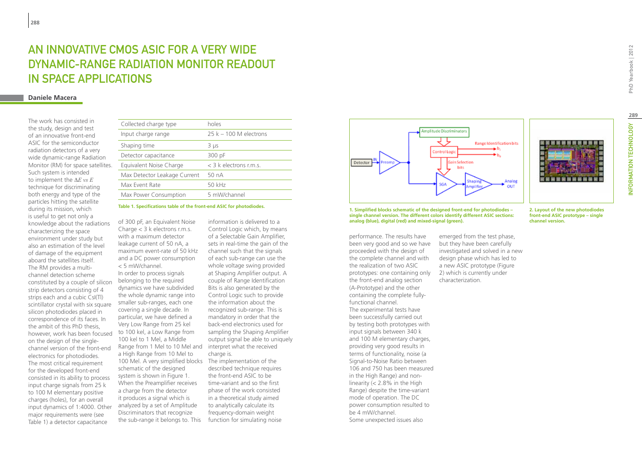## An innovative CMOS ASIC for a very wide dynamic-range Radiation Monitor Readout in Space Applications

## **Daniele Macera**

The work has consisted in the study, design and test of an innovative front-end ASIC for the semiconductor radiation detectors of a very wide dynamic-range Radiation Monitor (RM) for space satellites. Such system is intended to implement the  $\Delta E$  *vs E* technique for discriminating both energy and type of the particles hitting the satellite during its mission, which is useful to get not only a knowledge about the radiations characterizing the space environment under study but also an estimation of the level of damage of the equipment aboard the satellites itself. The RM provides a multichannel detection scheme constituted by a couple of silicon strip detectors consisting of 4 strips each and a cubic CsI(Tl) scintillator crystal with six square silicon photodiodes placed in correspondence of its faces. In the ambit of this PhD thesis, however, work has been focused on the design of the singlechannel version of the front-end electronics for photodiodes. The most critical requirement for the developed front-end consisted in its ability to process input charge signals from 25 k to 100 M elementary positive charges (holes), for an overall input dynamics of 1:4000. Other major requirements were (see Table 1) a detector capacitance

| Collected charge type        | holes                    |
|------------------------------|--------------------------|
| Input charge range           | $25 k - 100 M$ electrons |
| Shaping time                 | 3 µs                     |
| Detector capacitance         | 300 pF                   |
| Equivalent Noise Charge      | $<$ 3 k electrons r.m.s. |
| Max Detector Leakage Current | 50nA                     |
| Max Event Rate               | 50 kHz                   |
| Max Power Consumption        | 5 mW/channel             |
|                              |                          |

**Table 1. Specifications table of the front-end ASIC for photodiodes.**

of 300 pF, an Equivalent Noise Charge < 3 k electrons r.m.s. with a maximum detector leakage current of 50 nA, a maximum event-rate of 50 kHz and a DC power consumption < 5 mW/channel.

In order to process signals belonging to the required dynamics we have subdivided the whole dynamic range into smaller sub-ranges, each one covering a single decade. In particular, we have defined a Very Low Range from 25 kel to 100 kel, a Low Range from 100 kel to 1 Mel, a Middle Range from 1 Mel to 10 Mel and a High Range from 10 Mel to 100 Mel. A very simplified blocks The implementation of the schematic of the designed system is shown in Figure 1. When the Preamplifier receives a charge from the detector it produces a signal which is analyzed by a set of Amplitude Discriminators that recognize the sub-range it belongs to. This

information is delivered to a Control Logic which, by means of a Selectable Gain Amplifier, sets in real-time the gain of the channel such that the signals of each sub-range can use the whole voltage swing provided at Shaping Amplifier output. A couple of Range Identification Bits is also generated by the Control Logic such to provide the information about the recognized sub-range. This is mandatory in order that the back-end electronics used for sampling the Shaping Amplifier output signal be able to uniquely interpret what the received charge is.

described technique requires the front-end ASIC to be time-variant and so the first phase of the work consisted in a theoretical study aimed to analytically calculate its frequency-domain weight function for simulating noise



**1. Simplified blocks schematic of the designed front-end for photodiodes – single channel version. The different colors identify different ASIC sections: analog (blue), digital (red) and mixed-signal (green).**

> investigated and solved in a new design phase which has led to a new ASIC prototype (Figure 2) which is currently under

characterization.

performance. The results have been very good and so we have proceeded with the design of the complete channel and with the realization of two ASIC prototypes: one containing only the front-end analog section (A-Prototype) and the other containing the complete fullyfunctional channel. The experimental tests have been successfully carried out by testing both prototypes with input signals between 340 k and 100 M elementary charges, providing very good results in terms of functionality, noise (a Signal-to-Noise Ratio between 106 and 750 has been measured in the High Range) and nonlinearity (< 2.8% in the High Range) despite the time-variant mode of operation. The DC power consumption resulted to be 4 mW/channel. Some unexpected issues also

emerged from the test phase, but they have been carefully **channel version.** PhD Yearbook | 2012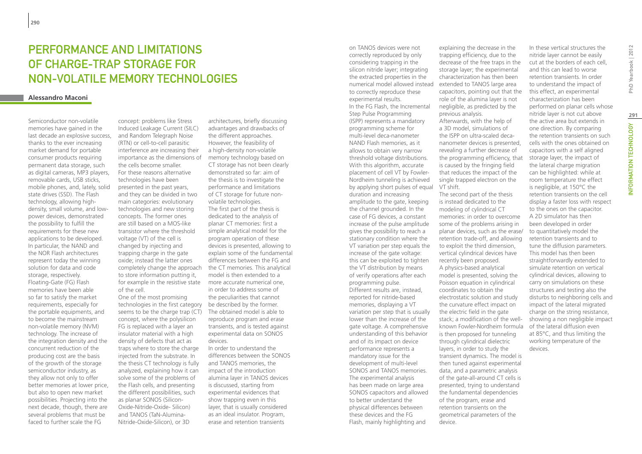## Performance and limitations of charge-trap storage for non-volatile memory technologies

## **Alessandro Maconi**

Semiconductor non-volatile memories have gained in the last decade an explosive success, thanks to the ever increasing market demand for portable consumer products requiring permanent data storage, such as digital cameras, MP3 players, removable cards, USB sticks, mobile phones, and, lately, solid state drives (SSD). The Flash technology, allowing highdensity, small volume, and lowpower devices, demonstrated the possibility to fulfill the requirements for these new applications to be developed. In particular, the NAND and the NOR Flash architectures represent today the winning solution for data and code storage, respectively. Floating-Gate (FG) Flash memories have been able so far to satisfy the market requirements, especially for the portable equipments, and to become the mainstream non-volatile memory (NVM) technology. The increase of the integration density and the concurrent reduction of the producing cost are the basis of the growth of the storage semiconductor industry, as they allow not only to offer better memories at lower price, but also to open new market possibilities. Projecting into the next decade, though, there are several problems that must be faced to further scale the FG

concept: problems like Stress Induced Leakage Current (SILC) and Random Telegraph Noise (RTN) or cell-to-cell parasitic interference are increasing their importance as the dimensions of the cells become smaller. For these reasons alternative technologies have been presented in the past years, and they can be divided in two main categories: evolutionary technologies and new storing concepts. The former ones are still based on a MOS-like transistor where the threshold voltage (VT) of the cell is changed by injecting and trapping charge in the gate oxide; instead the latter ones completely change the approach to store information putting it, for example in the resistive state more accurate numerical one, of the cell. One of the most promising

technologies in the first category be described by the former. seems to be the charge trap (CT) concept, where the polysilicon FG is replaced with a layer an insulator material with a high density of defects that act as traps where to store the charge injected from the substrate. In the thesis CT technology is fully analyzed, explaining how it can solve some of the problems of the Flash cells, and presenting the different possibilities, such as planar SONOS (Silicon-Oxide-Nitride-Oxide- Silicon) and TANOS (TaN-Alumina-Nitride-Oxide-Silicon), or 3D

architectures, briefly discussing advantages and drawbacks of the different approaches. However, the feasibility of a high-density non-volatile memory technology based on CT storage has not been clearly demonstrated so far: aim of the thesis is to investigate the performance and limitations of CT storage for future nonvolatile technologies. The first part of the thesis is dedicated to the analysis of planar CT memories: first a simple analytical model for the program operation of these devices is presented, allowing to explain some of the fundamental differences between the FG and the CT memories. This analytical model is then extended to a in order to address some of the peculiarities that cannot The obtained model is able to reproduce program and erase transients, and is tested against experimental data on SONOS devices. In order to understand the

differences between the SONOS and TANOS memories, the impact of the introduction alumina layer in TANOS devices is discussed, starting from experimental evidences that show trapping even in this layer, that is usually considered as an ideal insulator. Program, erase and retention transients

on TANOS devices were not correctly reproduced by only considering trapping in the silicon nitride layer; integrating the extracted properties in the numerical model allowed instead to correctly reproduce these experimental results. In the FG Flash, the Incremental Step Pulse Programming (ISPP) represents a mandatory programming scheme for multi-level deca-nanometer NAND Flash memories, as it allows to obtain very narrow threshold voltage distributions. With this algorithm, accurate placement of cell VT by Fowler-Nordheim tunneling is achieved by applying short pulses of equal duration and increasing amplitude to the gate, keeping the channel grounded. In the case of FG devices, a constant increase of the pulse amplitude gives the possibility to reach a stationary condition where the VT variation per step equals the increase of the gate voltage: this can be exploited to tighten the VT distribution by means of verify operations after each programming pulse. Different results are, instead, reported for nitride-based memories, displaying a VT variation per step that is usually lower than the increase of the gate voltage. A comprehensive understanding of this behavior and of its impact on device performance represents a mandatory issue for the development of multi-level SONOS and TANOS memories. The experimental analysis has been made on large area SONOS capacitors and allowed to better understand the physical differences between these devices and the FG Flash, mainly highlighting and

explaining the decrease in the trapping efficiency, due to the decrease of the free traps in the storage layer; the experimental characterization has then been extended to TANOS large area capacitors, pointing out that the role of the alumina layer is not negligible, as predicted by the previous analysis. Afterwards, with the help of

a 3D model, simulations of the ISPP on ultra-scaled decananometer devices is presented, revealing a further decrease of the programming efficiency, that is caused by the fringing field that reduces the impact of the single trapped electron on the VT shift.

The second part of the thesis is instead dedicated to the modeling of cylindrical CT memories: in order to overcome some of the problems arising in planar devices, such as the erase/ retention trade-off, and allowing to exploit the third dimension, vertical cylindrical devices have recently been proposed. A physics-based analytical model is presented, solving the Poisson equation in cylindrical coordinates to obtain the electrostatic solution and study the curvature effect impact on the electric field in the gate stack; a modification of the wellknown Fowler-Nordheim formula is then proposed for tunneling through cylindrical dielectric layers, in order to study the transient dynamics. The model is then tuned against experimental data, and a parametric analysis of the gate-all-around CT cells is presented, trying to understand the fundamental dependencies of the program, erase and retention transients on the geometrical parameters of the device.

PhD Yearbook | 2012 INFORMATION TECHNOLOGY PhD Yearbook | 2012 performed on planar cells whose **291**INFORMATION TECHNOLOGY

the retention transients on such cells with the ones obtained on capacitors with a self aligned storage layer, the impact of the lateral charge migration can be highlighted: while at room temperature the effect is negligible, at 150°C the retention transients on the cell display a faster loss with respect to the ones on the capacitor. A 2D simulator has then been developed in order to quantitatively model the retention transients and to tune the diffusion parameters. This model has then been straightforwardly extended to simulate retention on vertical cylindrical devices, allowing to carry on simulations on these structures and testing also the disturbs to neighboring cells and impact of the lateral migrated charge on the string resistance, showing a non negligible impact of the lateral diffusion even at 85°C, and thus limiting the working temperature of the devices.

In these vertical structures the nitride layer cannot be easily cut at the borders of each cell, and this can lead to worse retention transients. In order to understand the impact of this effect, an experimental characterization has been

nitride layer is not cut above the active area but extends in one direction. By comparing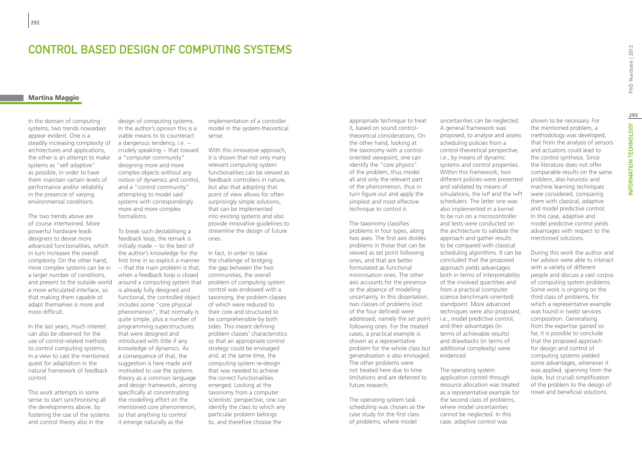## Control Based Design of Computing Systems

## **Martina Maggio**

In the domain of computing systems, two trends nowadays appear evident. One is a steadily increasing complexity of architectures and applications, the other is an attempt to make systems as "self adaptive" as possible, in order to have them maintain certain levels of performance and/or reliability in the presence of varying environmental conditions.

The two trends above are of course intertwined. More powerful hardware leads designers to devise more advanced functionalities, which in turn increases the overall complexity. On the other hand, more complex systems can be in a larger number of conditions, a more articulated interface, so that making them capable of adapt themselves is more and more difficult.

In the last years, much interest can also be observed for the use of control-related methods to control computing systems, in a view to cast the mentioned quest for adaptation in the natural framework of feedback control.

This work attempts in some sense to start synchronising all the developments above, by fostering the use of the systems and control theory also in the

design of computing systems. In the author's opinion this is a viable means to to counteract a dangerous tendency, i.e. - crudely speaking -- that toward a "computer community" designing more and more complex objects without any notion of dynamics and control, and a "control community" attempting to model said systems with correspondingly more and more complex formalisms.

To break such destabilising a feedback loop, the remark is initially made -- to the best of the author's knowledge for the first time in so explicit a manner -- that the main problem is that, when a feedback loop is closed and present to the outside world around a computing system that aroblem of computing system is already fully designed and functional, the controlled object includes some "core physical phenomenon", that normally is quite simple, plus a number of programming superstructures that were designed and introduced with little if any knowledge of dynamics. As a consequence of that, the suggestion is here made and motivated to use the systems theory as a common language and design framework, aiming specifically at concentrating the modelling effort on the mentioned core phenomenon, so that anything to control it emerge naturally as the

implementation of a controller model in the system-theoretical sense.

With this innovative approach, it is shown that not only many relevant computing system functionalities can be viewed as feedback controllers in nature, but also that adopting that point of view allows for often surprisingly simple solutions, that can be implemented into existing systems and also provide innovative guidelines to streamline the design of future ones.

In fact, in order to take the challenge of bridging the gap between the two communities, the overall control was endowed with a taxonomy, the problem classes of which were reduced to their core and structured to be comprehensible by both sides. This meant defining problem classes' characteristics so that an appropriate control strategy could be envisaged and, at the same time, the computing system re-design that was needed to achieve the correct functionalities emerged. Looking at the taxonomy from a computer scientists' perspective, one can identify the class to which any particular problem belongs to, and therefore choose the

appropriate technique to treat it, based on sound controltheoretical considerations. On the other hand, looking at the taxonomy with a controloriented viewpoint, one can identify the "core physics" of the problem, thus model all and only the relevant part of the phenomenon, thus in turn figure out and apply the simplest and most effective technique to control it.

The taxonomy classifies problems in four types, along two axes. The first axis divides problems in those that can be viewed as set point following ones, and that are better formulated as functional minimisation ones. The other axis accounts for the presence or the absence of modelling uncertainty. In this dissertation, two classes of problems (out of the four defined) were addressed, namely the set point following ones. For the treated cases, a practical example is shown as a representative problem for the whole class but generalisation is also envisaged. The other problems were not treated here due to time limitations and are deferred to future research.

The operating system task scheduling was chosen as the case study for the first class of problems, where model

uncertainties can be neglected. A general framework was proposed, to analyse and assess scheduling policies from a control-theoretical perspective, i.e., by means of dynamic systems and control properties. Within this framework, two different policies were presented and validated by means of simulations, the I+P and the I+PI schedulers. The latter one was also implemented in a kernel to be run on a microcontroller and tests were conducted on the architecture to validate the approach and gather results to be compared with classical scheduling algorithms. It can be concluded that the proposed approach yields advantages both in terms of interpretability of the involved quantities and from a practical (computer science benchmark-oriented) standpoint. More advanced techniques were also proposed, i.e., model predictive control, and their advantages (in terms of achievable results) and drawbacks (in terms of additional complexity) were evidenced.

The operating system application control through resource allocation was treated as a representative example for the second class of problems, where model uncertainties cannot be neglected. In this case, adaptive control was

shown to be necessary. For the mentioned problem, a methodology was developed, that from the analysis of sensors and actuators could lead to the control synthesis. Since the literature does not offer comparable results on the same problem, also heuristic and machine learning techniques were considered, comparing them with classical, adaptive and model predictive control. In this case, adaptive and model predictive control yields advantages with respect to the mentioned solutions.

During this work the author and her advisor were able to interact with a variety of different people and discuss a vast corpus of computing system problems. Some work is ongoing on the third class of problems, for which a representative example was found in (web) services composition. Generalising from the expertise gained so far, it is possible to conclude that the proposed approach for design and control of computing systems yielded some advantages, whenever it was applied, spanning from the (sole, but crucial) simplification of the problem to the design of novel and beneficial solutions.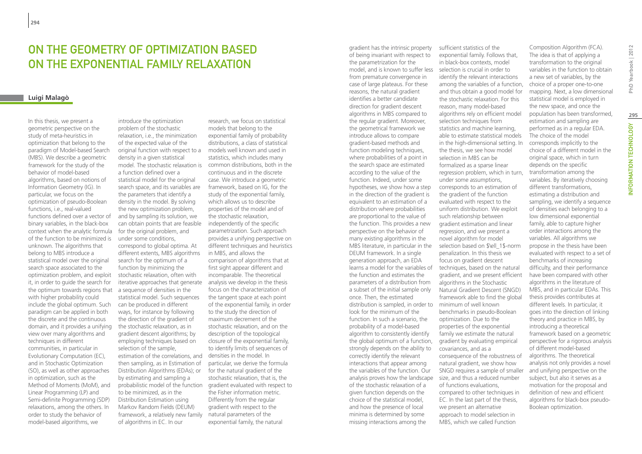## On the Geometry of Optimization based on the Exponential Family Relaxation

## **Luigi Malagò**

In this thesis, we present a geometric perspective on the study of meta-heuristics in optimization that belong to the paradigm of Model-based Search (MBS). We describe a geometric framework for the study of the behavior of model-based algorithms, based on notions of Information Geometry (IG). In particular, we focus on the optimization of pseudo-Boolean functions, i.e., real-valued functions defined over a vector of binary variables, in the black-box context when the analytic formula of the function to be minimized is unknown. The algorithms that belong to MBS introduce a statistical model over the original search space associated to the optimization problem, and exploit it, in order to guide the search for the optimum towards regions that with higher probability could include the global optimum. Such paradigm can be applied in both the discrete and the continuous domain, and it provides a unifying view over many algorithms and techniques in different communities, in particular in Evolutionary Computation (EC), and in Stochastic Optimization (SO), as well as other approaches in optimization, such as the Method of Moments (MoM), and Linear Programming (LP) and Semi-definite Programming (SDP) relaxations, among the others. In order to study the behavior of model-based algorithms, we

introduce the optimization problem of the stochastic relaxation, i.e., the minimization of the expected value of the original function with respect to a models well known and used in density in a given statistical model. The stochastic relaxation is a function defined over a statistical model for the original search space, and its variables are the parameters that identify a density in the model. By solving the new optimization problem, and by sampling its solution, we can obtain points that are feasible for the original problem, and under some conditions, correspond to global optima. At different extents, MBS algorithms search for the optimum of a function by minimizing the stochastic relaxation, often with iterative approaches that generate analysis we develop in the thesis a sequence of densities in the statistical model. Such sequences can be produced in different ways, for instance by following the direction of the gradient of the stochastic relaxation, as in gradient descent algorithms; by employing techniques based on selection of the sample, estimation of the correlations, and then sampling, as in Estimation of Distribution Algorithms (EDAs); or by estimating and sampling a to be minimized, as in the Distribution Estimation using Markov Random Fields (DEUM) framework, a relatively new family of algorithms in EC. In our

probabilistic model of the function gradient evaluated with respect to research, we focus on statistical models that belong to the exponential family of probability distributions, a class of statistical statistics, which includes many common distributions, both in the continuous and in the discrete case. We introduce a geometric framework, based on IG, for the study of the exponential family, which allows us to describe properties of the model and of the stochastic relaxation, independently of the specific parametrization. Such approach provides a unifying perspective on different techniques and heuristics in MBS, and allows the comparison of algorithms that at first sight appear different and incomparable. The theoretical focus on the characterization of the tangent space at each point of the exponential family, in order to the study the direction of maximum decrement of the stochastic relaxation, and on the description of the topological closure of the exponential family, to identify limits of sequences of densities in the model. In particular, we derive the formula for the natural gradient of the stochastic relaxation, that is, the the Fisher information metric. Differently from the regular gradient with respect to the natural parameters of the exponential family, the natural

model, and is known to suffer less selection is crucial in order to MBS literature, in particular in the selection based on  $\ell_1$ . distribution is sampled, in order to minimum of well known analysis proves how the landscape size, and thus a reduced number gradient has the intrinsic property of being invariant with respect to the parametrization for the from premature convergence in case of large plateaus. For these reasons, the natural gradient identifies a better candidate direction for gradient descent algorithms in MBS compared to the regular gradient. Moreover, the geometrical framework we introduce allows to compare gradient-based methods and function modeling techniques, where probabilities of a point in the search space are estimated according to the value of the function. Indeed, under some hypotheses, we show how a step in the direction of the gradient is equivalent to an estimation of a distribution where probabilities are proportional to the value of the function. This provides a new perspective on the behavior of many existing algorithms in the DEUM framework. In a single generation approach, an EDA learns a model for the variables of the function and estimates the parameters of a distribution from a subset of the initial sample only once. Then, the estimated look for the minimum of the function. In such a scenario, the probability of a model-based algorithm to consistently identify the global optimum of a function, strongly depends on the ability to correctly identify the relevant interactions that appear among the variables of the function. Our of the stochastic relaxation of a given function depends on the choice of the statistical model, and how the presence of local minima is determined by some missing interactions among the

sufficient statistics of the exponential family. Follows that, in black-box contexts, model identify the relevant interactions among the variables of a function, and thus obtain a good model for the stochastic relaxation. For this reason, many model-based algorithms rely on efficient model selection techniques from statistics and machine learning, able to estimate statistical models in the high-dimensional setting. In the thesis, we see how model selection in MBS can be formalized as a sparse linear regression problem, which in turn, under some assumptions, corresponds to an estimation of the gradient of the function evaluated with respect to the uniform distribution. We exploit such relationship between gradient estimation and linear regression, and we present a novel algorithm for model penalization. In this thesis we focus on gradient descent techniques, based on the natural gradient, and we present efficient algorithms in the Stochastic Natural Gradient Descent (SNGD) framework able to find the global benchmarks in pseudo-Boolean optimization. Due to the properties of the exponential family we estimate the natural gradient by evaluating empirical covariances, and as a consequence of the robustness of natural gradient, we show how SNGD requires a sample of smaller of functions evaluations, compared to other techniques in EC. In the last part of the thesis, we present an alternative approach to model selection in MBS, which we called Function

Composition Algorithm (FCA). The idea is that of applying a transformation to the original variables in the function to obtain a new set of variables, by the choice of a proper one-to-one mapping. Next, a low dimensional statistical model is employed in the new space, and once the population has been transformed, estimation and sampling are performed as in a regular EDA. The choice of the model corresponds implicitly to the choice of a different model in the original space, which in turn depends on the specific transformation among the variables. By iteratively choosing different transformations, estimating a distribution and sampling, we identify a sequence of densities each belonging to a low dimensional exponential family, able to capture higher order interactions among the variables. All algorithms we propose in the thesis have been evaluated with respect to a set of benchmarks of increasing difficulty, and their performance have been compared with other algorithms in the literature of MBS, and in particular EDAs. This thesis provides contributes at different levels. In particular, it goes into the direction of linking theory and practice in MBS, by introducing a theoretical framework based on a geometric perspective for a rigorous analysis of different model-based algorithms. The theoretical analysis not only provides a novel and unifying perspective on the subject, but also it serves as a motivation for the proposal and definition of new and efficient algorithms for black-box pseudo-Boolean optimization.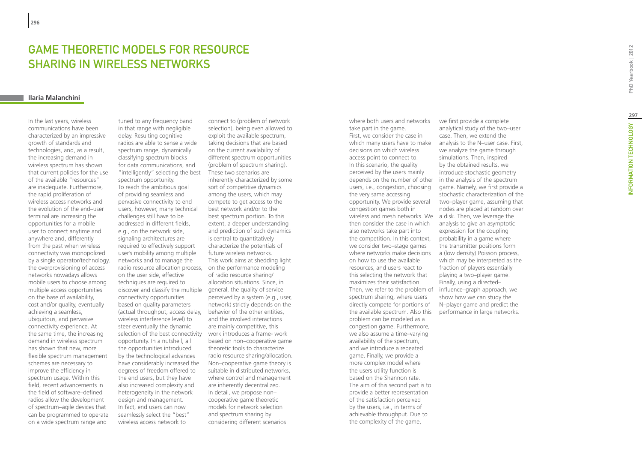## Game Theoretic Models for Resource Sharing in Wireless Networks

#### **Ilaria Malanchini**

In the last years, wireless communications have been characterized by an impressive growth of standards and technologies, and, as a result, the increasing demand in wireless spectrum has shown that current policies for the use of the available "resources" are inadequate. Furthermore, the rapid proliferation of wireless access networks and the evolution of the end–user terminal are increasing the opportunities for a mobile user to connect anytime and anywhere and, differently from the past when wireless connectivity was monopolized by a single operator/technology, the overprovisioning of access networks nowadays allows mobile users to choose among multiple access opportunities on the base of availability, cost and/or quality, eventually achieving a seamless, ubiquitous, and pervasive connectivity experience. At the same time, the increasing demand in wireless spectrum has shown that new, more flexible spectrum management schemes are necessary to improve the efficiency in spectrum usage. Within this field, recent advancements in the field of software–defined radios allow the development of spectrum–agile devices that can be programmed to operate on a wide spectrum range and

tuned to any frequency band in that range with negligible delay. Resulting cognitive radios are able to sense a wide spectrum range, dynamically classifying spectrum blocks for data communications, and "intelligently" selecting the best spectrum opportunity. To reach the ambitious goal of providing seamless and pervasive connectivity to end users, however, many technical challenges still have to be addressed in different fields, e.g., on the network side, signaling architectures are required to effectively support user's mobility among multiple networks and to manage the radio resource allocation process, on the performance modeling on the user side, effective techniques are required to discover and classify the multiple general, the quality of service connectivity opportunities based on quality parameters (actual throughput, access delay, wireless interference level) to steer eventually the dynamic selection of the best connectivity work introduces a frame- work opportunity. In a nutshell, all the opportunities introduced by the technological advances have considerably increased the degrees of freedom offered to the end users, but they have also increased complexity and heterogeneity in the network design and management. In fact, end users can now seamlessly select the "best" wireless access network to

connect to (problem of network selection), being even allowed to exploit the available spectrum, taking decisions that are based on the current availability of different spectrum opportunities (problem of spectrum sharing). These two scenarios are inherently characterized by some sort of competitive dynamics among the users, which may compete to get access to the best network and/or to the best spectrum portion. To this extent, a deeper understanding and prediction of such dynamics is central to quantitatively characterize the potentials of future wireless networks. This work aims at shedding light of radio resource sharing/ allocation situations. Since, in perceived by a system (e.g., user, network) strictly depends on the behavior of the other entities, and the involved interactions are mainly competitive, this based on non–cooperative game theoretic tools to characterize radio resource sharing/allocation. Non–cooperative game theory is suitable in distributed networks, where control and management are inherently decentralized. In detail, we propose non– cooperative game theoretic models for network selection and spectrum sharing by considering different scenarios

depends on the number of other  $\overline{\phantom{a}}$  in the analysis of the spectrum wireless and mesh networks. We a disk. Then, we leverage the Then, we refer to the problem of influence–graph approach, we where both users and networks take part in the game. First, we consider the case in which many users have to make decisions on which wireless access point to connect to. In this scenario, the quality perceived by the users mainly users, i.e., congestion, choosing the very same accessing opportunity. We provide several congestion games both in then consider the case in which also networks take part into the competition. In this context, we consider two–stage games where networks make decisions on how to use the available resources, and users react to this selecting the network that maximizes their satisfaction. spectrum sharing, where users directly compete for portions of the available spectrum. Also this problem can be modeled as a congestion game. Furthermore, we also assume a time–varying availability of the spectrum, and we introduce a repeated game. Finally, we provide a more complex model where the users utility function is based on the Shannon rate. The aim of this second part is to provide a better representation of the satisfaction perceived by the users, i.e., in terms of achievable throughput. Due to the complexity of the game,

we first provide a complete analytical study of the two–user case. Then, we extend the analysis to the N–user case. First, we analyze the game through simulations. Then, inspired by the obtained results, we introduce stochastic geometry game. Namely, we first provide a stochastic characterization of the two–player game, assuming that nodes are placed at random over analysis to give an asymptotic expression for the coupling probability in a game where the transmitter positions form a (low density) Poisson process, which may be interpreted as the fraction of players essentially playing a two–player game. Finally, using a directed– show how we can study the N–player game and predict the performance in large networks.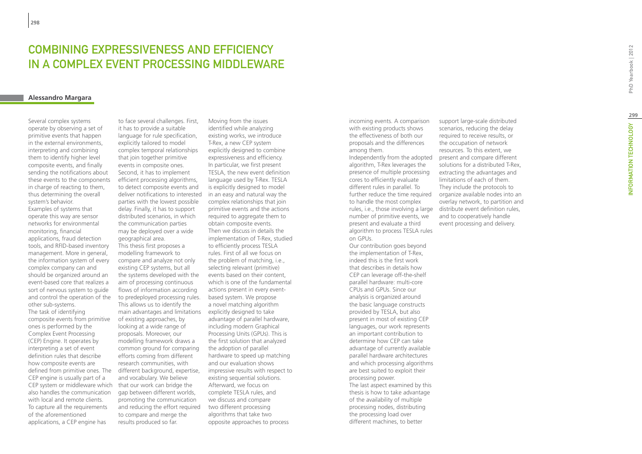## COMBINING EXPRESSIVENESS AND FEFICIENCY in a Complex Event Processing Middleware

## **Alessandro Margara**

Several complex systems operate by observing a set of primitive events that happen in the external environments, interpreting and combining them to identify higher level composite events, and finally sending the notifications about these events to the components in charge of reacting to them. thus determining the overall system's behavior. Examples of systems that operate this way are sensor networks for environmental monitoring, financial applications, fraud detection tools, and RFID-based inventory management. More in general, the information system of every complex company can and should be organized around an event-based core that realizes a sort of nervous system to guide and control the operation of the

other sub-systems. The task of identifying composite events from primitive ones is performed by the Complex Event Processing (CEP) Engine. It operates by interpreting a set of event definition rules that describe how composite events are defined from primitive ones. The CEP engine is usually part of a CEP system or middleware which also handles the communication with local and remote clients. To capture all the requirements of the aforementioned applications, a CEP engine has

to face several challenges. First, it has to provide a suitable language for rule specification, explicitly tailored to model complex temporal relationships that join together primitive events in composite ones. Second, it has to implement efficient processing algorithms, to detect composite events and deliver notifications to interested parties with the lowest possible delay. Finally, it has to support distributed scenarios, in which the communication parties may be deployed over a wide geographical area. This thesis first proposes a modelling framework to compare and analyze not only existing CEP systems, but all the systems developed with the aim of processing continuous flows of information according to predeployed processing rules. This allows us to identify the main advantages and limitations of existing approaches, by looking at a wide range of proposals. Moreover, our modelling framework draws a common ground for comparing efforts coming from different research communities, with different background, expertise, and vocabulary. We believe that our work can bridge the gap between different worlds, promoting the communication and reducing the effort required to compare and merge the results produced so far.

Moving from the issues identified while analyzing existing works, we introduce T-Rex, a new CEP system explicitly designed to combine expressiveness and efficiency. In particular, we first present TESLA, the new event definition language used by T-Rex. TESLA is explicitly designed to model in an easy and natural way the complex relationships that join primitive events and the actions required to aggregate them to obtain composite events. Then we discuss in details the implementation of T-Rex, studied to efficiently process TESLA rules. First of all we focus on the problem of matching, i.e., selecting relevant (primitive) events based on their content, which is one of the fundamental actions present in every eventbased system. We propose a novel matching algorithm explicitly designed to take advantage of parallel hardware, including modern Graphical Processing Units (GPUs). This is the first solution that analyzed the adoption of parallel hardware to speed up matching and our evaluation shows impressive results with respect to existing sequential solutions. Afterward, we focus on complete TESLA rules, and we discuss and compare two different processing algorithms that take two opposite approaches to process

incoming events. A comparison with existing products shows the effectiveness of both our proposals and the differences among them.

Independently from the adopted algorithm, T-Rex leverages the presence of multiple processing cores to efficiently evaluate different rules in parallel. To further reduce the time required to handle the most complex number of primitive events, we present and evaluate a third algorithm to process TESLA rules on GPUs.

Our contribution goes beyond the implementation of T-Rex, indeed this is the first work that describes in details how CEP can leverage off-the-shelf parallel hardware: multi-core CPUs and GPUs. Since our analysis is organized around the basic language constructs provided by TESLA, but also present in most of existing CEP languages, our work represents an important contribution to determine how CEP can take advantage of currently available parallel hardware architectures and which processing algorithms are best suited to exploit their processing power. The last aspect examined by this thesis is how to take advantage of the availability of multiple processing nodes, distributing the processing load over different machines, to better

support large-scale distributed scenarios, reducing the delay required to receive results, or the occupation of network resources. To this extent, we present and compare different solutions for a distributed T-Rex, extracting the advantages and limitations of each of them. They include the protocols to organize available nodes into an overlay network, to partition and rules, i.e., those involving a large distribute event definition rules, and to cooperatively handle event processing and delivery.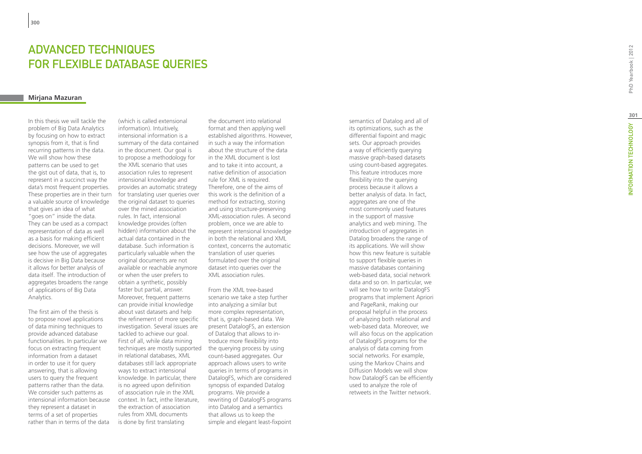## **ADVANCEE<br>FOR FLEXI<br><sup>Mirjana Mazuran**</sup> t **ECHNIQUES contract of the contract of the contract of the contract of the contract of the contract of the contract of the contract of the contract of the contract of the contract of the contract of the contract of the contract of t** for f lexible database queries

In this thesis we will tackle the problem of Big Data Analytics by focusing on how to extract synopsis from it, that is find recurring patterns in the data. We will show how these patterns can be used to get the gist out of data, that is, to represent in a succinct way the data's most frequent properties. These properties are in their turn a valuable source of knowledge that gives an idea of what "goes on" inside the data. They can be used as a compact representation of data as well as a basis for making efficient decisions. Moreover, we will see how the use of aggregates is decisive in Big Data because it allows for better analysis of data itself. The introduction of aggregates broadens the range of applications of Big Data Analytics.

The first aim of the thesis is to propose novel applications of data mining techniques to provide advanced database functionalities. In particular we focus on extracting frequent information from a dataset in order to use it for query answering, that is allowing users to query the frequent patterns rather than the data. We consider such patterns as intensional information because they represent a dataset in terms of a set of properties rather than in terms of the data

(which is called extensional information). Intuitively, intensional information is a summary of the data contained in the document. Our goal is to propose a methodology for the XML scenario that uses association rules to represent intensional knowledge and provides an automatic strategy for translating user queries over the original dataset to queries over the mined association rules. In fact, intensional knowledge provides (often hidden) information about the actual data contained in the database. Such information is particularly valuable when the original documents are not available or reachable anymore or when the user prefers to obtain a synthetic, possibly faster but partial, answer. Moreover, frequent patterns can provide initial knowledge about vast datasets and help the refinement of more specific investigation. Several issues are tackled to achieve our goal. First of all, while data mining techniques are mostly supported in relational databases, XML databases still lack appropriate ways to extract intensional knowledge. In particular, there is no agreed upon definition of association rule in the XML context. In fact, inthe literature, the extraction of association rules from XML documents is done by first translating

the document into relational format and then applying well established algorithms. However, in such a way the information about the structure of the data in the XML document is lost and to take it into account, a native definition of association rule for XML is required. Therefore, one of the aims of this work is the definition of a method for extracting, storing and using structure-preserving XML-association rules. A second problem, once we are able to represent intensional knowledge in both the relational and XML context, concerns the automatic translation of user queries formulated over the original dataset into queries over the XML association rules.

From the XML tree-based scenario we take a step further into analyzing a similar but more complex representation, that is, graph-based data. We present DatalogFS, an extension of Datalog that allows to introduce more flexibility into the querying process by using count-based aggregates. Our approach allows users to write queries in terms of programs in DatalogFS, which are considered synopsis of expanded Datalog programs. We provide a rewriting of DatalogFS programs into Datalog and a semantics that allows us to keep the simple and elegant least-fixpoint semantics of Datalog and all of its optimizations, such as the differential fixpoint and magic sets. Our approach provides a way of efficiently querying massive graph-based datasets using count-based aggregates. This feature introduces more flexibility into the querving process because it allows a better analysis of data. In fact, aggregates are one of the most commonly used features in the support of massive analytics and web mining. The introduction of aggregates in Datalog broadens the range of its applications. We will show how this new feature is suitable to support flexible queries in massive databases containing web-based data, social network data and so on. In particular, we will see how to write DatalogFS programs that implement Apriori and PageRank, making our proposal helpful in the process of analyzing both relational and web-based data. Moreover, we will also focus on the application of DatalogFS programs for the analysis of data coming from social networks. For example, using the Markov Chains and Diffusion Models we will show how DatalogFS can be efficiently used to analyze the role of retweets in the Twitter network.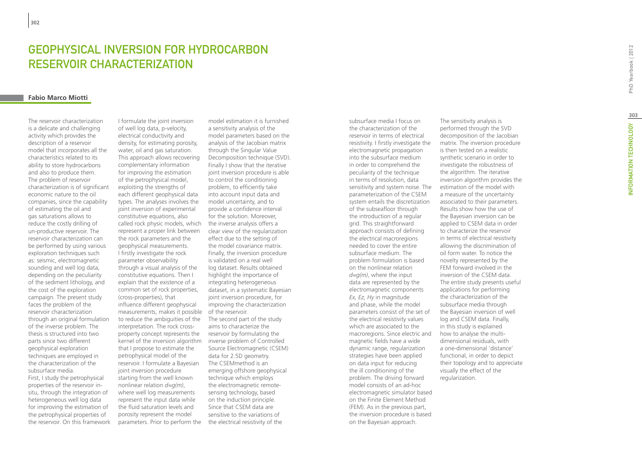## GEOPHYSICAL INVERSION FOR HYDROCARBON RESERVOIR CHARACTERIZATION

## **Fabio Marco Miotti**

The reservoir characterization is a delicate and challenging activity which provides the description of a reservoir model that incorporates all the characteristics related to its ability to store hydrocarbons and also to produce them. The problem of reservoir characterization is of significant economic nature to the oil companies, since the capability of estimating the oil and gas saturations allows to reduce the costly drilling of un-productive reservoir. The reservoir characterization can be performed by using various exploration techniques such as: seismic, electromagnetic sounding and well log data, depending on the peculiarity of the sediment lithology, and the cost of the exploration campaign. The present study faces the problem of the reservoir characterization through an original formulation of the inverse problem. The thesis is structured into two parts since two different geophysical exploration techniques are employed in the characterization of the subsurface media. First, I study the petrophysical properties of the reservoir insitu, through the integration of heterogeneous well log data for improving the estimation of

the petrophysical properties of the reservoir. On this framework

measurements, makes it possible of the reservoir. I formulate the joint inversion of well log data, p-velocity, electrical conductivity and density, for estimating porosity, water, oil and gas saturation. This approach allows recovering complementary information for improving the estimation of the petrophysical model, exploiting the strengths of each different geophysical data types. The analyses involves the joint inversion of experimental constitutive equations, also called rock physic models, which represent a proper link between the rock parameters and the geophysical measurements. I firstly investigate the rock parameter observability through a visual analysis of the constitutive equations. Then I explain that the existence of a common set of rock properties, (cross-properties), that influence different geophysical to reduce the ambiguities of the interpretation. The rock crossproperty concept represents the kernel of the inversion algorithm that I propose to estimate the petrophysical model of the reservoir. I formulate a Bayesian joint inversion procedure starting from the well known nonlinear relation *d=g(m)*, where well log measurements represent the input data while the fluid saturation levels and porosity represent the model parameters. Prior to perform the

model estimation it is furnished a sensitivity analysis of the model parameters based on the analysis of the Jacobian matrix through the Singular Value Decomposition technique (SVD). Finally I show that the iterative joint inversion procedure is able to control the conditioning problem, to efficiently take into account input data and model uncertainty, and to provide a confidence interval for the solution. Moreover, the inverse analysis offers a clear view of the regularization effect due to the setting of the model covariance matrix. Finally, the inversion procedure is validated on a real well log dataset. Results obtained highlight the importance of integrating heterogeneous dataset, in a systematic Bayesian joint inversion procedure, for improving the characterization The second part of the study

aims to characterize the reservoir by formulating the inverse problem of Controlled Source Electromagnetic (CSEM) data for 2.5D geometry. The CSEMmethod is an emerging offshore geophysical technique which employs the electromagnetic remotesensing technology, based on the induction principle. Since that CSEM data are sensitive to the variations of the electrical resistivity of the

subsurface media I focus on the characterization of the reservoir in terms of electrical resistivity. I firstly investigate the electromagnetic propagation into the subsurface medium in order to comprehend the peculiarity of the technique in terms of resolution, data sensitivity and system noise. The parameterization of the CSEM system entails the discretization of the subseafloor through the introduction of a regular grid. This straightforward approach consists of defining the electrical macroregions needed to cover the entire subsurface medium. The problem formulation is based on the nonlinear relation *d=g(m)*, where the input data are represented by the electromagnetic components *Ex, Ez, Hy* in magnitude and phase, while the model parameters consist of the set of the electrical resistivity values which are associated to the macroregions. Since electric and magnetic fields have a wide dynamic range, regularization strategies have been applied on data input for reducing the ill conditioning of the problem. The driving forward model consists of an ad-hoc electromagnetic simulator based on the Finite Element Method (FEM). As in the previous part, the inversion procedure is based on the Bayesian approach.

The sensitivity analysis is performed through the SVD decomposition of the Jacobian matrix. The inversion procedure is then tested on a realistic synthetic scenario in order to investigate the robustness of the algorithm. The iterative inversion algorithm provides the estimation of the model with a measure of the uncertainty associated to their parameters. Results show how the use of the Bayesian inversion can be applied to CSEM data in order to characterize the reservoir in terms of electrical resistivity allowing the discrimination of oil form water. To notice the novelty represented by the FEM forward involved in the inversion of the CSEM data. The entire study presents useful applications for performing the characterization of the subsurface media through the Bayesian inversion of well log and CSEM data. Finally, in this study is explained how to analyse the multidimensional residuals, with a one-dimensional 'distance' functional, in order to depict their topology and to appreciate visually the effect of the regularization.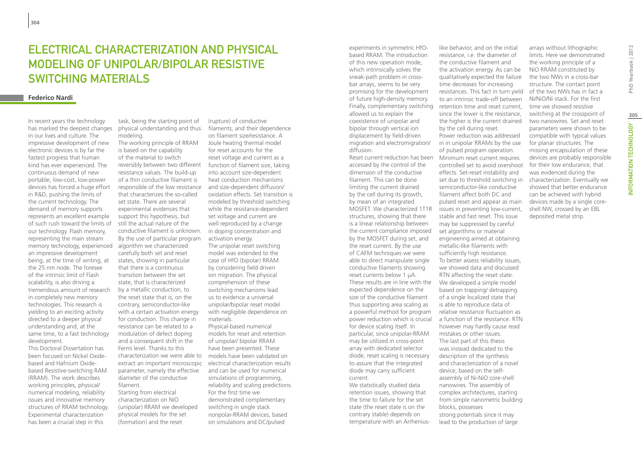## ELECTRICAL CHARACTERIZATION AND PHYSICAL MODELING OF UNIPOLAR/BIPOLAR RESISTIVE SWITCHING MATERIALS

## **Federico Nardi**

In recent years the technology has marked the deepest changes in our lives and culture. The impressive development of new electronic devices is by far the fastest progress that human kind has ever experienced. The continuous demand of new portable, low-cost, low-power devices has forced a huge effort in R&D, pushing the limits of the current technology. The demand of memory supports represents an excellent example of such rush toward the limits of our technology. Flash memory, representing the main stream memory technology, experienced an impressive development being, at the time of writing, at the 25 nm node. The foresee of the intrinsic limit of Flash scalability, is also driving a tremendous amount of research in completely new memory technologies. This research is yielding to an exciting activity directed to a deeper physical understanding and, at the same time, to a fast technology development.

This Doctoral Dissertation has been focused on Nickel Oxidebased and Hafnium Oxidebased Resistive-switching RAM (RRAM). The work describes working principles, physical/ numerical modeling, reliability issues and innovative memory structures of RRAM technology. Experimental characterization has been a crucial step in this

task, being the starting point of physical understanding and thus modeling.

The working principle of RRAM is based on the capability of the material to switch reversibly between two different resistance values. The build-up of a thin conductive filament is responsible of the low resistance that characterizes the so-called set state. There are several experimental evidences that support this hypothesis, but still the actual nature of the conductive filament is unknown. By the use of particular program algorithm we characterized carefully both set and reset states, showing in particular that there is a continuous transition between the set state, that is characterized by a metallic conduction, to the reset state that is, on the contrary, semiconductor-like with a certain activation energy for conduction. This change in resistance can be related to a modulation of defect doping and a consequent shift in the Fermi level. Thanks to this characterization we were able to extract an important microscopic parameter, namely the effective diameter of the conductive filament. Starting from electrical characterization on NiO (unipolar) RRAM we developed physical models for the set

(formation) and the reset

(rupture) of conductive filaments, and their dependence on filament size/resistance. A Joule heating thermal model for reset accounts for the reset voltage and current as a function of filament size, taking into account size-dependent heat conduction mechanisms and size-dependent diffusion/ oxidation effects. Set transition is modeled by threshold switching while the resistance-dependent set voltage and current are well reproduced by a change in doping concentration and

activation energy. The unipolar reset switching model was extended to the case of HfO (bipolar) RRAM by considering field driven ion migration. The physical comprehension of these switching mechanisms lead us to evidence a universal unipolar/bipolar reset model with negligible dependence on materials. Physical-based numerical models for reset and retention of unipolar/ bipolar RRAM have been presented. These models have been validated on electrical characterization results and can be used for numerical simulations of programming, reliability and scaling predictions. For the first time we demonstrated complementary switching in single stack nonpolar-RRAM devices, based on simulations and DC/pulsed

Finally, complementary switching retention time and reset current, experiments in symmetric HfObased RRAM. The introduction of this new operation mode, which intrinsically solves the sneak-path problem in crossbar arrays, seems to be very promising for the development of future high-density memory. allowed us to explain the coexistence of unipolar and bipolar through vertical ion displacement by field-driven migration and electromigration/ diffusion.

Reset current reduction has been accessed by the control of the dimension of the conductive filament. This can be done limiting the current drained by the cell during its growth, by mean of an integrated MOSFET. We characterized 1T1R structures, showing that there is a linear relationship between the current compliance imposed by the MOSFET during set, and the reset current. By the use of CAFM techniques we were able to direct manipulate single conductive filaments showing reset currents below 1 μA. These results are in line with the expected dependence on the size of the conductive filament thus supporting area scaling as a powerful method for program power reduction which is crucial for device scaling itself. In particular, since unipolar-RRAM may be utilized in cross-point array with dedicated selector diode, reset scaling is necessary to assure that the integrated diode may carry sufficient current.

We statistically studied data retention issues, showing that the time to failure for the set state (the reset state is on the contrary stable) depends on temperature with an Arrhenius-

like behavior, and on the initial resistance, i.e., the diameter of the conductive filament and the activation energy. As can be qualitatively expected the failure time decreases for increasing resistances. This fact in turn yield to an intrinsic trade-off between since the lower is the resistance, the higher is the current drained by the cell during reset. Power reduction was addressed in in unipolar RRAMs by the use of pulsed program operation. Minimum reset current requires controlled set to avoid overshoot effects. Set-reset instability and set due to threshold switching in semiconductor-like conductive filament affect both DC and pulsed reset and appear as main issues in preventing low-current, stable and fast reset. This issue may be suppressed by careful set algorithms or material engineering aimed at obtaining metallic-like filaments with sufficiently high resistance. To better assess reliability issues, arrays without lithographic limits. Here we demonstrated the working principle of a NiO RRAM constituted by the two NWs in a cross-bar structure. The contact point of the two NWs has in fact a Ni/NiO/Ni stack. For the first time we showed resistive switching at the crosspoint of two nanowires. Set and reset parameters were shown to be compatible with typical values for planar structures. The missing encapsulation of these devices are probably responsible for their low endurance, that was evidenced during the characterization. Eventually we showed that better endurance can be achieved with hybrid devices made by a single coreshell NW, crossed by an EBL deposited metal strip.

we showed data and discussed RTN affecting the reset state. We developed a simple model based on trapping/ detrapping of a single localized state that is able to reproduce data of relative resistance fluctuation as a function of the resistance. RTN however may hardly cause read mistakes or other issues. The last part of this thesis was instead dedicated to the description of the synthesis and characterization of a novel device, based on the selfassembly of Ni-NiO core-shell nanowires. The assembly of complex architectures, starting from simple nanometric building

blocks, possesses

strong potentials since it may lead to the production of large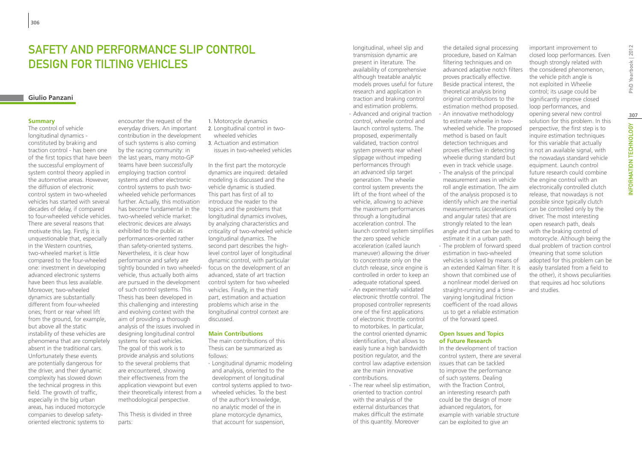## Safety and performance slip control design for tilting vehicles

#### **Giulio Panzani**

#### **Summary**

The control of vehicle longitudinal dynamics constituted by braking and traction control - has been one of the first topics that have been the successful employment of system control theory applied in the automotive areas. However, the diffusion of electronic control system in two-wheeled vehicles has started with several decades of delay, if compared to four-wheeled vehicle vehicles. There are several reasons that motivate this lag. Firstly, it is unquestionable that, especially in the Western countries, two-wheeled market is little compared to the four-wheeled one: investment in developing advanced electronic systems have been thus less available. Moreover, two-wheeled dynamics are substantially different from four-wheeled ones; front or rear wheel lift from the ground, for example, but above all the static instability of these vehicles are phenomena that are completely absent in the traditional cars. Unfortunately these events are potentially dangerous for the driver, and their dynamic complexity has slowed down the technical progress in this field. The growth of traffic, especially in the big urban areas, has induced motorcycle companies to develop safetyoriented electronic systems to

encounter the request of the everyday drivers. An important contribution in the development of such systems is also coming by the racing community: in the last years, many moto-GP teams have been successfully employing traction control systems and other electronic control systems to push twowheeled vehicle performances further. Actually, this motivation has become fundamental in the two-wheeled vehicle market: electronic devices are always exhibited to the public as performances-oriented rather than safety-oriented systems. Nevertheless, it is clear how performance and safety are tightly bounded in two wheeledvehicle, thus actually both aims are pursued in the development of such control systems. This Thesis has been developed in this challenging and interesting and evolving context with the aim of providing a thorough analysis of the issues involved in designing longitudinal control systems for road vehicles. The goal of this work is to provide analysis and solutions to the several problems that are encountered, showing their effectiveness from the application viewpoint but even their theoretically interest from a methodological perspective.

This Thesis is divided in three parts:

1. Motorcycle dynamics

- 2. Longitudinal control in twowheeled vehicles
- 3. Actuation and estimation issues in two-wheeled vehicles

In the first part the motorcycle dynamics are inquired: detailed modeling is discussed and the vehicle dynamic is studied. This part has first of all to introduce the reader to the topics and the problems that longitudinal dynamics involves, by analyzing characteristics and criticality of two-wheeled vehicle longitudinal dynamics. The second part describes the highlevel control layer of longitudinal dynamic control, with particular focus on the development of an advanced, state of art traction control system for two wheeled vehicles. Finally, in the third part, estimation and actuation problems which arise in the longitudinal control context are discussed.

#### **Main Contributions**

The main contributions of this Thesis can be summarized as follows:

∙ Longitudinal dynamic modeling and analysis, oriented to the development of longitudinal control systems applied to twowheeled vehicles. To the best of the author's knowledge, no analytic model of the in plane motorcycle dynamics, that account for suspension,

longitudinal, wheel slip and transmission dynamic are present in literature. The availability of comprehensive although treatable analytic models proves useful for future research and application in traction and braking control and estimation problems.

∙ Advanced and original traction control, wheelie control and launch control systems. The proposed, experimentally validated, traction control system prevents rear wheel slippage without impeding performances through an advanced slip target generation. The wheelie control system prevents the lift of the front wheel of the vehicle, allowing to achieve the maximum performances through a longitudinal acceleration control. The launch control system simplifies the zero speed vehicle acceleration (called launch maneuver) allowing the driver to concentrate only on the clutch release, since engine is controlled in order to keep an adequate rotational speed. ∙ An experimentally validated electronic throttle control. The proposed controller represents one of the first applications of electronic throttle control to motorbikes. In particular,

the control oriented dynamic identification, that allows to easily tune a high bandwidth position regulator, and the control law adaptive extension are the main innovative contributions.

∙ The rear wheel slip estimation, oriented to traction control with the analysis of the external disturbances that makes difficult the estimate of this quantity. Moreover

the detailed signal processing procedure, based on Kalman filtering techniques and on advanced adaptive notch filters proves practically effective. Beside practical interest, the theoretical analysis bring original contributions to the estimation method proposed. ∙ An innovative methodology to estimate wheelie in twowheeled vehicle. The proposed method is based on fault detection techniques and proves effective in detecting wheelie during standard but even in track vehicle usage.

∙ The analysis of the principal measurement axes in vehicle roll angle estimation. The aim of the analysis proposed is to identify which are the inertial measurements (accelerations and angular rates) that are strongly related to the lean angle and that can be used to estimate it in a urban path. ∙ The problem of forward speed estimation in two-wheeled vehicles is solved by means of an extended Kalman filter. It is shown that combined use of a nonlinear model derived on straight-running and a timevarying longitudinal friction coefficient of the road allows us to get a reliable estimation of the forward speed.

#### **Open Issues and Topics of Future Research**

In the development of traction control system, there are several issues that can be tackled to improve the performance of such systems. Dealing with the Traction Control, an interesting research path could be the design of more advanced regulators, for example with variable structure can be exploited to give an

important improvement to closed loop performances. Even though strongly related with the considered phenomenon, the vehicle pitch angle is not exploited in Wheelie control; its usage could be significantly improve closed loop performances, and opening several new control solution for this problem. In this perspective, the first step is to inquire estimation techniques for this variable that actually is not an available signal, with the nowadays standard vehicle equipment. Launch control future research could combine the engine control with an electronically controlled clutch release, that nowadays is not possible since typically clutch can be controlled only by the driver. The most interesting open research path, deals with the braking control of motorcycle. Although being the dual problem of traction control (meaning that some solution adopted for this problem can be easily translated from a field to the other), it shows peculiarities that requires ad hoc solutions and studies.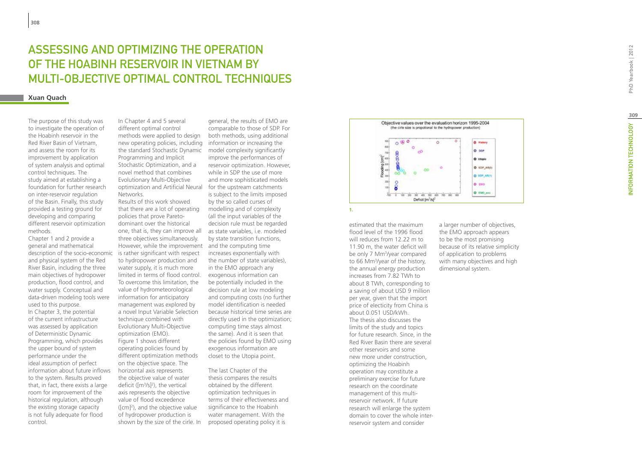# ASSESSING AND OPTIMIZING THE OP<br>OF THE HOABINH RESERVOIR IN VIET<br>MULTI-OBJECTIVE OPTIMAL CONTROI<br><sub>Xuan Quach</sub> ASSESSING AND OPTIMIZING THE OPERATION OF THE HOABINH RESERVOIR IN VIETNAM BY MULTI-OBJECTIVE OPTIMAL CONTROL TECHNIQU

The purpose of this study was to investigate the operation of the Hoabinh reservoir in the Red River Basin of Vietnam, and assess the room for its improvement by application of system analysis and optimal control techniques. The study aimed at establishing a foundation for further research on inter-reservoir regulation of the Basin. Finally, this study provided a testing ground for developing and comparing different reservoir optimization methods.

Chapter 1 and 2 provide a general and mathematical description of the socio-economic and physical system of the Red River Basin, including the three main objectives of hydropower production, flood control, and water supply. Conceptual and data-driven modeling tools were used to this purpose. In Chapter 3, the potential of the current infrastructure was assessed by application of Deterministic Dynamic Programming, which provides the upper bound of system performance under the ideal assumption of perfect information about future inflows to the system. Results proved that, in fact, there exists a large room for improvement of the historical regulation, although the existing storage capacity is not fully adequate for flood control.

new operating policies, including information or increasing the the standard Stochastic Dynamic model complexity significantly In Chapter 4 and 5 several different optimal control methods were applied to design Programming and Implicit Stochastic Optimization, and a novel method that combines Evolutionary Multi-Objective optimization and Artificial Neural Networks.

However, while the improvement and the computing time Results of this work showed that there are a lot of operating policies that prove Paretodominant over the historical one, that is, they can improve all three objectives simultaneously. is rather significant with respect to hydropower production and water supply, it is much more limited in terms of flood control. To overcome this limitation, the value of hydrometeorological information for anticipatory management was explored by a novel Input Variable Selection technique combined with Evolutionary Multi-Objective optimization (EMO). Figure 1 shows different operating policies found by different optimization methods on the objective space. The horizontal axis represents the objective value of water deficit ( $[m<sup>3</sup>/s]<sup>2</sup>$ ), the vertical axis represents the objective value of flood exceedence ([cm] 2 ), and the objective value of hydropower production is shown by the size of the cirle. In

general, the results of EMO are comparable to those of SDP. For both methods, using additional improve the performances of reservoir optimization. However, while in SDP the use of more and more sophisticated models for the upstream catchments is subject to the limits imposed by the so called curses of modelling and of complexity (all the input variables of the decision rule must be regarded as state variables, i.e. modeled by state transition functions, increases exponentially with the number of state variables), in the EMO approach any exogenous information can be potentially included in the decision rule at low modeling and computing costs (no further model identification is needed because historical time series are directly used in the optimization; computing time stays almost the same). And it is seen that the policies found by EMO using exogenous information are closet to the Utopia point.

The last Chapter of the thesis compares the results obtained by the different optimization techniques in terms of their effectiveness and significance to the Hoabinh water management. With the proposed operating policy it is



**1.**

estimated that the maximum flood level of the 1996 flood will reduces from 12.22 m to 11.90 m, the water deficit will be only 7 Mm 3 /year compared to 66 Mm 3 /year of the history, the annual energy production increases from 7.82 TWh to about 8 TWh, corresponding to a saving of about USD 9 million per year, given that the import price of electicity from China is about 0.051 USD/kWh. The thesis also discusses the limits of the study and topics for future research. Since, in the Red River Basin there are several other reservoirs and some new more under construction, optimizing the Hoabinh operation may constitute a preliminary exercise for future research on the coordinate management of this multireservoir network. If future research will enlarge the system domain to cover the whole interreservoir system and consider

a larger number of objectives, the EMO approach appears to be the most promising because of its relative simplicity of application to problems with many objectives and high dimensional system.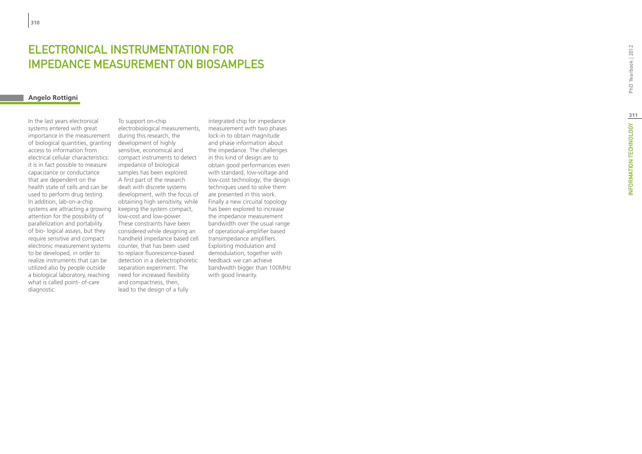## ELECTRONICAL INSTRUMENTATION FO EDANCE MEASUREMENT ON BIOSAMPLES

## **Angelo Rottigni**

In the last years electronical systems entered with great importance in the measurement of biological quantities, granting access to information from electrical cellular characteristics: it is in fact possible to measure capacitance or conductance that are dependent on the health state of cells and can be used to perform drug testing. In addition, lab-on-a-chip systems are attracting a growing attention for the possibility of parallelization and portability of bio- logical assays, but they require sensitive and compact electronic measurement systems to be developed, in order to realize instruments that can be utilized also by people outside a biological laboratory, reaching what is called point- of-care diagnostic.

To support on-chip electrobiological measurements, during this research, the development of highly sensitive, economical and compact instruments to detect impedance of biological samples has been explored. A first part of the research dealt with discrete systems development, with the focus of obtaining high sensitivity, while keeping the system compact, low-cost and low-power. These constraints have been considered while designing an handheld impedance based cell counter, that has been used to replace fluorescence-based detection in a dielectrophoretic separation experiment. The need for increased flexibility and compactness, then, lead to the design of a fully

integrated chip for impedance measurement with two phases lock-in to obtain magnitude and phase information about the impedance. The challenges in this kind of design are to obtain good performances even with standard, low-voltage and low-cost technology; the design techniques used to solve them are presented in this work. Finally a new circuital topology has been explored to increase the impedance measurement bandwidth over the usual range of operational-amplifier based transimpedance amplifiers. Exploiting modulation and demodulation, together with feedback we can achieve bandwidth bigger than 100MHz with good linearity.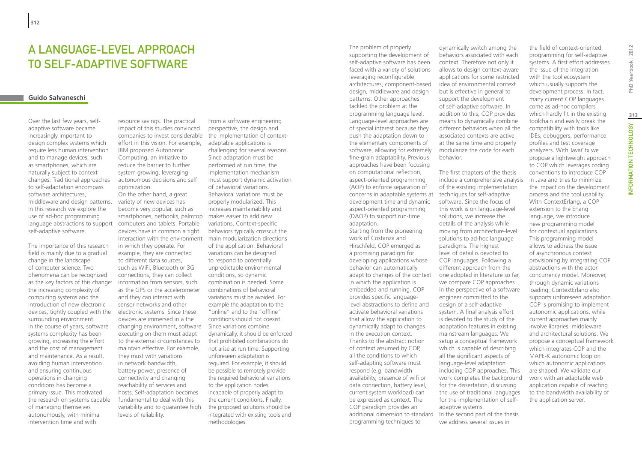## A language-level approach to self-adaptive software

#### **Guido Salvaneschi**

Over the last few years, selfadaptive software became increasingly important to design complex systems which require less human intervention and to manage devices, such as smartphones, which are naturally subject to context changes. Traditional approaches to self-adaptation encompass software architectures, middleware and design patterns. In this research we explore the use of ad-hoc programming language abstractions to support self-adaptive software.

The importance of this research field is mainly due to a gradual change in the landscape of computer science. Two phenomena can be recognized as the key factors of this change: the increasing complexity of computing systems and the introduction of new electronic devices, tightly coupled with the surrounding environment. In the course of years, software systems complexity has been growing, increasing the effort and the cost of management and maintenance. As a result, avoiding human intervention and ensuring continuous operations in changing conditions has become a primary issue. This motivated the research on systems capable of managing themselves autonomously, with minimal intervention time and with

resource savings. The practical impact of this studies convinced companies to invest considerable effort in this vision. For example, IBM proposed Autonomic Computing, an initiative to reduce the barrier to further system growing, leveraging autonomous decisions and self optimization.

interaction with the environment main modularization directions On the other hand, a great variety of new devices has become very popular, such as smartphones, netbooks, palmtop computers and tablets. Portable devices have in common a tight in which they operate. For example, they are connected to different data sources, such as WiFi, Bluetooth or 3G connections, they can collect information from sensors, such as the GPS or the accelerometer and they can interact with sensor networks and other electronic systems. Since these devices are immersed in a the changing environment, software executing on them must adapt to the external circumstances to maintain effective. For example, they must with variations in network bandwidth, battery power, presence of connectivity and changing reachability of services and hosts. Self-adaptation becomes fundamental to deal with this variability and to guarantee high levels of reliability.

From a software engineering perspective, the design and the implementation of contextadaptable applications is challenging for several reasons. Since adaptation must be performed at run time, the implementation mechanism must support dynamic activation of behavioral variations. Behavioral variations must be properly modularized. This increases maintainability and makes easier to add new variations. Context-specific behaviors typically crosscut the of the application. Behavioral variations can be designed to respond to potentially unpredictable environmental conditions, so dynamic combination is needed. Some combinations of behavioral variations must be avoided. For example the adaptation to the "online" and to the "offline" conditions should not coexist. Since variations combine dynamically, it should be enforced that prohibited combinations do not arise at run time. Supporting unforeseen adaptation is required. For example, it should be possible to remotely provide the required behavioral variations to the application nodes incapable of properly adapt to the current conditions. Finally, the proposed solutions should be integrated with existing tools and methodologies.

The problem of properly supporting the development of self-adaptive software has been faced with a variety of solutions leveraging reconfigurable architectures, component-based design, middleware and design patterns. Other approaches tackled the problem at the programming language level. Language-level approaches are of special interest because they push the adaptation down to the elementary components of software, allowing for extremely fine-grain adaptability. Previous approaches have been focusing on computational reflection, aspect-oriented programming (AOP) to enforce separation of concerns in adaptable systems at development time and dynamic aspect-oriented programming (DAOP) to support run-time adaptation. Starting from the pioneering work of Costanza and Hirschfeld, COP emerged as

additional dimension to standard In the second part of the thesis a promising paradigm for developing applications whose behavior can automatically adapt to changes of the context in which the application is embedded and running. COP provides specific languagelevel abstractions to define and activate behavioral variations that allow the application to dynamically adapt to changes in the execution context. Thanks to the abstract notion of context assumed by COP, all the conditions to which self-adapting software must respond (e.g. bandwidth availability, presence of wifi or data connection, battery level, current system workload) can be expressed as context. The COP paradigm provides an programming techniques to

dynamically switch among the behaviors associated with each context. Therefore not only it allows to design context-aware applications for some restricted idea of environmental context but is effective in general to support the development of self-adaptive software. In addition to this, COP provides means to dynamically combine different behaviors when all the associated contexts are active at the same time and properly modularize the code for each behavior.

The first chapters of the thesis include a comprehensive analysis of the existing implementation techniques for self-adaptive software. Since the focus of this work is on language-level solutions, we increase the details of the analysis while moving from architecture-level solutions to ad-hoc language paradigms. The highest level of detail is devoted to COP languages. Following a different approach from the one adopted in literature so far, we compare COP approaches in the perspective of a software engineer committed to the design of a self-adaptive system. A final analysis effort is devoted to the study of the adaptation features in existing mainstream languages. We setup a conceptual framework which is capable of describing all the significant aspects of language-level adaptation including COP approaches. This work completes the background for the dissertation, discussing the use of traditional languages for the implementation of selfadaptive systems.

we address several issues in

programming for self-adaptive systems. A first effort addresses the issue of the integration with the tool ecosystem which usually supports the development process. In fact, many current COP languages come as ad-hoc compilers which hardly fit in the existing toolchain and easily break the compatibility with tools like IDEs, debuggers, performance profiles and test coverage analyzers. With JavaCtx we propose a lightweight approach to COP which leverages coding conventions to introduce COP in Java and tries to minimize the impact on the development process and the tool usability. With ContextErlang, a COP extension to the Erlang language, we introduce new programming model for contextual applications. This programming model allows to address the issue of asynchronous context provisioning by integrating COP abstractions with the actor concurrency model. Moreover, through dynamic variations loading, ContextErlang also supports unforeseen adaptation. COP is promising to implement autonomic applications, while current approaches mainly involve libraries, middleware and architectural solutions. We propose a conceptual framework which integrates COP and the MAPE-K autonomic loop on which autonomic applications are shaped. We validate our work with an adaptable web application capable of reacting to the bandwidth availability of the application server.

the field of context-oriented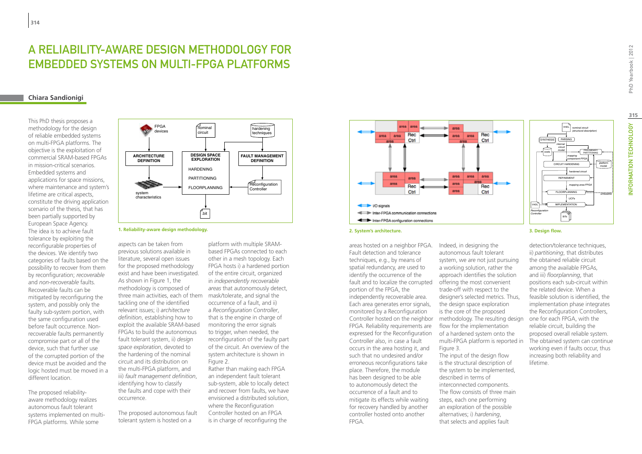## A reliability-aware design methodology for embedded systems on multi-FPGA platforms

## **Chiara Sandionigi**

This PhD thesis proposes a methodology for the design of reliable embedded systems on multi-FPGA platforms. The objective is the exploitation of commercial SRAM-based FPGAs in mission-critical scenarios. Embedded systems and applications for space missions, where maintenance and system's lifetime are critical aspects, constitute the driving application scenario of the thesis, that has been partially supported by European Space Agency. The idea is to achieve fault tolerance by exploiting the reconfigurable properties of the devices. We identify two categories of faults based on the possibility to recover from them by reconfiguration; *recoverable* and *non-recoverable* faults. Recoverable faults can be mitigated by reconfiguring the system, and possibly only the faulty sub-system portion, with the same configuration used before fault occurrence. Nonrecoverable faults permanently compromise part or all of the device, such that further use of the corrupted portion of the device must be avoided and the logic hosted must be moved in a different location.

The proposed reliabilityaware methodology realizes autonomous fault tolerant systems implemented on multi-FPGA platforms. While some



**1. Reliability-aware design methodology.**

three main activities, each of them mask/tolerate, and signal the aspects can be taken from previous solutions available in literature, several open issues for the proposed methodology exist and have been investigated. As shown in Figure 1, the methodology is composed of tackling one of the identified relevant issues; i) *architecture definition*, establishing how to exploit the available SRAM-based FPGAs to build the autonomous fault tolerant system, ii) *design space exploration*, devoted to the hardening of the nominal circuit and its distribution on the multi-FPGA platform, and iii) *fault management definition*, identifying how to classify the faults and cope with their occurrence.

The proposed autonomous fault tolerant system is hosted on a

platform with multiple SRAMbased FPGAs connected to each other in a mesh topology. Each FPGA hosts i) a hardened portion of the entire circuit, organized in *independently recoverable areas* that autonomously detect, occurrence of a fault, and ii) a *Reconfiguration Controller*, that is the engine in charge of monitoring the error signals to trigger, when needed, the reconfiguration of the faulty part of the circuit. An overview of the system architecture is shown in Figure 2.

Rather than making each FPGA an independent fault tolerant sub-system, able to locally detect and recover from faults, we have envisioned a distributed solution, where the Reconfiguration Controller hosted on an FPGA is in charge of reconfiguring the



#### **2. System's architecture. 3. Design flow.**

fault and to localize the corrupted offering the most convenient areas hosted on a neighbor FPGA. Fault detection and tolerance techniques, e.g., by means of spatial redundancy, are used to identify the occurrence of the portion of the FPGA, the independently recoverable area. Each area generates error signals, monitored by a Reconfiguration FPGA. Reliability requirements are expressed for the Reconfiguration Controller also, in case a fault occurs in the area hosting it, and such that no undesired and/or erroneous reconfigurations take place. Therefore, the module has been designed to be able to autonomously detect the occurrence of a fault and to mitigate its effects while waiting for recovery handled by another controller hosted onto another FPGA.

Indeed, in designing the autonomous fault tolerant system, we are not just pursuing a working solution, rather the approach identifies the solution trade-off with respect to the designer's selected metrics. Thus, the design space exploration is the core of the proposed Controller hosted on the neighbor methodology. The resulting design flow for the implementation of a hardened system onto the multi-FPGA platform is reported in Figure 3. The input of the design flow

is the structural description of the system to be implemented, described in terms of interconnected components. The flow consists of three main steps, each one performing an exploration of the possible alternatives; i) *hardening*, that selects and applies fault

# INFORMATION TECHNOLOGY PhD Yearbook | 2012 **315**NFORMATION TECHNOLOGY

PhD Yearbook | 2012

platform model

*unfeasible*

detection/tolerance techniques, ii) *partitioning*, that distributes the obtained reliable circuit among the available FPGAs, and iii) *floorplanning*, that positions each sub-circuit within the related device. When a feasible solution is identified, the implementation phase integrates the Reconfiguration Controllers, one for each FPGA, with the reliable circuit, building the proposed overall reliable system. The obtained system can continue working even if faults occur, thus increasing both reliability and lifetime.

REFINEMENT

*hardened circuit*

mapping component-FPGA

mapping area-FPG.

*internal circuit model*

FLOORPLANNING

BITs<br>BITs

IMPLEMENTATION

*UCFs*

VHDL *nominal circuit (structural description)*

> PRELIMINARY PARTITIONING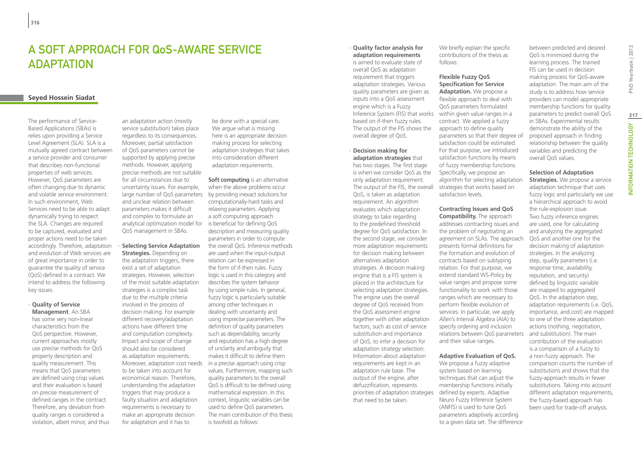## A Soft Approach for QoS-Aware Service **ADAPTATION**

## **Seyed Hossein Siadat**

The performance of Service-Based Applications (SBAs) is relies upon providing a Service Level Agreement (SLA). SLA is a mutually agreed contract between a service provider and consumer that describes non-functional properties of web services. However, QoS parameters are often changing due to dynamic and volatile service environment. In such environment, Web Services need to be able to adapt dynamically trying to respect the SLA. Changes are required to be captured, evaluated and proper actions need to be taken accordingly. Therefore, adaptation and evolution of Web services are of great importance in order to guarantee the quality of service (QoS) defined in a contract. We intend to address the following key issues.

#### ∙ **Quality of Service Management**. An SBA

has some very non-linear characteristics from the QoS perspective. However, current approaches mostly use precise methods for QoS property description and quality measurement. This means that QoS parameters are defined using crisp values and their evaluation is based on precise measurement of defined ranges in the contract. Therefore, any deviation from quality ranges is considered a violation, albeit minor, and thus

an adaptation action (mostly service substitution) takes place regardless to its consequences. Moreover, partial satisfaction of QoS parameters cannot be supported by applying precise methods. However, applying precise methods are not suitable for all circumstances due to uncertainty issues. For example, large number of QoS parameters and unclear relation between parameters makes it difficult and complex to formulate an analytical optimization model for QoS management in SBAs.

## ∙ **Selecting Service Adaptation**

**Strategies.** Depending on the adaptation triggers, there exist a set of adaptation strategies. However, selection of the most suitable adaptation strategies is a complex task due to the multiple criteria involved in the process of decision making. For example different recovery/adaptation actions have different time and computation complexity. Impact and scope of change should also be considered as adaptation requirements. Moreover, adaptation cost needs to be taken into account for economical reason. Therefore, understanding the adaptation triggers that may produce a faulty situation and adaptation requirements is necessary to make an appropriate decision for adaptation and it has to

be done with a special care. We argue what is missing here is an appropriate decision making process for selecting adaptation strategies that takes into consideration different adaptation requirements.

**Soft computing** is an alternative when the above problems occur by providing inexact solutions for computationally-hard tasks and relaxing parameters. Applying a soft computing approach is beneficial for defining QoS description and measuring quality parameters in order to compute the overall QoS. Inference methods are used when the input-output relation can be expressed in the form of if-then rules. Fuzzy logic is used in this category and describes the system behavior by using simple rules. In general, fuzzy logic is particularly suitable among other techniques in dealing with uncertainty and using imprecise parameters. The definition of quality parameters such as dependability, security and reputation has a high degree of unclarity and ambiguity that makes it difficult to define them in a precise approach using crisp values. Furthermore, mapping such quality parameters to the overall QoS is difficult to be defined using mathematical expression. In this context, linguistic variables can be used to define QoS parameters. The main contribution of this thesis is twofold as follows:

Inference System (FIS) that works within given value ranges in a ∙ **Quality factor analysis for adaptation requirements**  is aimed to evaluate state of overall QoS as adaptation requirement that triggers adaptation strategies. Various quality parameters are given as inputs into a QoS assessment engine which is a Fuzzy based on if-then fuzzy rules. The output of the FIS shows the overall degree of QoS.

priorities of adaptation strategies defined by experts. Adaptive ∙ **Decision making for adaptation strategies** that has two stages. The first stage is when we consider QoS as the only adaptation requirement. The output of the FIS, the overall QoS, is taken as adaptation requirement. An algorithm evaluates which adaptation strategy to take regarding to the predefined threshold degree for QoS satisfaction. In the second stage, we consider more adaptation requirements for decision making between alternatives adaptation strategies. A decision making engine that is a FIS system is placed in the architecture for selecting adaptation strategies. The engine uses the overall degree of QoS received from the QoS assessment engine together with other adaptation factors, such as cost of service substitution and importance of QoS, to infer a decision for adaptation strategy selection. Information about adaptation requirements are kept in an adaptation rule base. The output of the engine, after defuzzification, represents that need to be taken.

We briefly explain the specific contributions of the thesis as follows:

## **Flexible Fuzzy QoS Specification for Service**

**Adaptation.** We propose a flexible approach to deal with QoS parameters formulated contract. We applied a fuzzy approach to define quality parameters so that their degree of satisfaction could be estimated. For that purpose, we introduced satisfaction functions by means of fuzzy membership functions. Specifically, we propose an algorithm for selecting adaptation strategies that works based on satisfaction levels.

**Contracting Issues and QoS Compatibility.** The approach addresses contracting issues and the problem of negotiating an agreement on SLAs. The approach presents formal definitions for the formation and evolution of contracts based on subtyping relation. For that purpose, we extend standard WS-Policy by value ranges and propose some functionality to work with those ranges which are necessary to perform flexible evolution of services. In particular, we apply Allen's Interval Algebra (AIA) to specify ordering and inclusion relations between QoS parameters and their value ranges. **Adaptive Evaluation of QoS.**

## We propose a fuzzy adaptive

system based on learning techniques that can adjust the membership functions initially Neuro Fuzzy Inference System (ANFIS) is used to tune QoS parameters adaptively according to a given data set. The difference

between predicted and desired QoS is minimized during the learning process. The trained FIS can be used in decision making process for QoS-aware adaptation. The main aim of the study is to address how service providers can model appropriate membership functions for quality parameters to predict overall QoS in SBAs. Experimental results demonstrate the ability of the proposed approach in finding relationship between the quality variables and predicting the overall QoS values.

## **Selection of Adaptation**

**Strategies.** We propose a service adaptation technique that uses fuzzy logic and particularly we use a hierarchical approach to avoid the rule-explosion issue. Two fuzzy inference engines are used, one for calculating and analyzing the aggregated QoS and another one for the decision making of adaptation strategies. In the analyzing step, quality parameters (i.e. response time, availability, reputation, and security) defined by linguistic variable are mapped to aggregated QoS. In the adaptation step, adaptation requirements (i.e. QoS, importance, and cost) are mapped to one of the three adaptation actions (nothing, negotiation, and substitution). The main contribution of the evaluation is a comparison of a fuzzy to a non-fuzzy approach. The comparison counts the number of substitutions and shows that the fuzzy-approach results in fewer substitutions. Taking into account different adaptation requirements, the fuzzy-based approach has been used for trade-off analysis.

# PhD Yearbook | 2012

# INFORMATION TECHNOLOGY PhD Yearbook | 2012 **317**INFORMATION TECHNOLOGY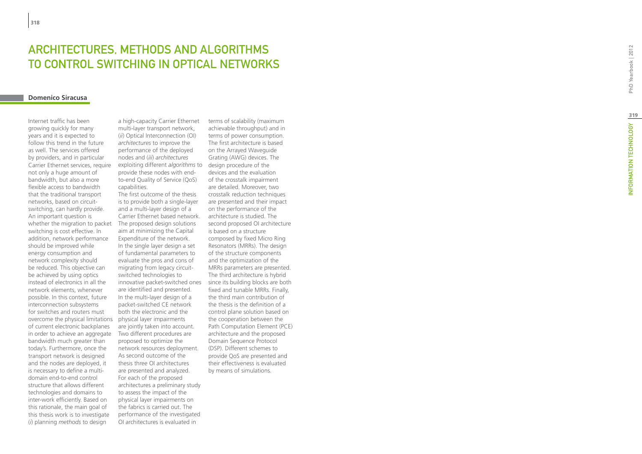# **ARCHITECTU<br>TO CONTROL<br><sub>Domenico Siracusa**</sub> RES, METHODS AND ALGORITHMS t to Control Switc hing in Optical Networks

Internet traffic has been growing quickly for many years and it is expected to follow this trend in the future as well. The services offered by providers, and in particular Carrier Ethernet services, require not only a huge amount of bandwidth, but also a more flexible access to bandwidth that the traditional transport networks, based on circuitswitching, can hardly provide. An important question is whether the migration to packet switching is cost effective. In addition, network performance should be improved while energy consumption and network complexity should be reduced. This objective can be achieved by using optics instead of electronics in all the network elements, whenever possible. In this context, future interconnection subsystems for switches and routers must overcome the physical limitations of current electronic backplanes in order to achieve an aggregate bandwidth much greater than today's. Furthermore, once the transport network is designed and the nodes are deployed, it is necessary to define a multidomain end-to-end control structure that allows different technologies and domains to inter-work efficiently. Based on this rationale, the main goal of this thesis work is to investigate (*i*) planning *methods* to design

exploiting different *algorithms* to design procedure of the a high-capacity Carrier Ethernet multi-layer transport network, (*ii*) Optical Interconnection (OI) *architectures* to improve the performance of the deployed nodes and (*iii*) *architectures* provide these nodes with endto-end Quality of Service (QoS) capabilities.

The first outcome of the thesis is to provide both a single-layer and a multi-layer design of a Carrier Ethernet based network. The proposed design solutions aim at minimizing the Capital Expenditure of the network. In the single layer design a set of fundamental parameters to evaluate the pros and cons of migrating from legacy circuitswitched technologies to innovative packet-switched ones are identified and presented. In the multi-layer design of a packet-switched CE network both the electronic and the physical layer impairments are jointly taken into account. Two different procedures are proposed to optimize the network resources deployment. As second outcome of the thesis three OI architectures are presented and analyzed. For each of the proposed architectures a preliminary study to assess the impact of the physical layer impairments on the fabrics is carried out. The performance of the investigated OI architectures is evaluated in

terms of scalability (maximum achievable throughput) and in terms of power consumption. The first architecture is based on the Arrayed Waveguide Grating (AWG) devices. The devices and the evaluation of the crosstalk impairment are detailed. Moreover, two crosstalk reduction techniques are presented and their impact on the performance of the architecture is studied. The second proposed OI architecture is based on a structure composed by fixed Micro Ring Resonators (MRRs). The design of the structure components and the optimization of the MRRs parameters are presented. The third architecture is hybrid since its building blocks are both fixed and tunable MRRs. Finally, the third main contribution of the thesis is the definition of a control plane solution based on the cooperation between the Path Computation Element (PCE) architecture and the proposed Domain Sequence Protocol (DSP). Different schemes to provide QoS are presented and their effectiveness is evaluated by means of simulations.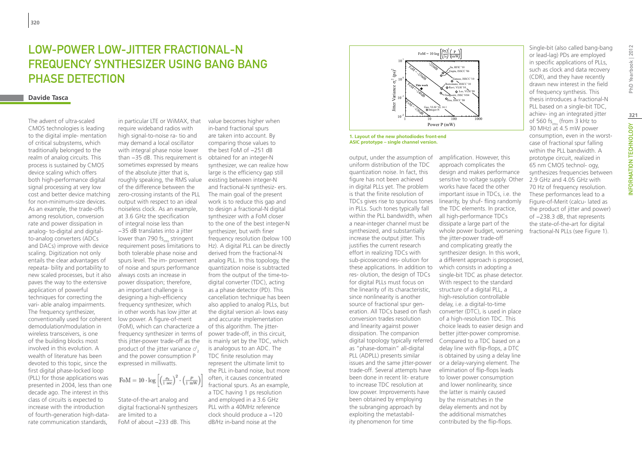## Low-Power Low-Jitter Fractional-N Frequency Synthesizer Using Bang Bang PHASE DETECTION

## **Davide Tasca**

The advent of ultra-scaled CMOS technologies is leading to the digital imple- mentation of critical subsystems, which traditionally belonged to the realm of analog circuits. This process is sustained by CMOS device scaling which offers both high-performance digital signal processing at very low cost and better device matching for non-minimum-size devices. As an example, the trade-offs among resolution, conversion rate and power dissipation in analog- to-digital and digitalto-analog converters (ADCs and DACs) improve with device scaling. Digitization not only entails the clear advantages of repeata- bility and portability to new scaled processes, but it also paves the way to the extensive application of powerful techniques for correcting the vari- able analog impairments. The frequency synthesizer, conventionally used for coherent demodulation/modulation in wireless transceivers, is one of the building blocks most involved in this evolution. A wealth of literature has been devoted to this topic, since the first digital phase-locked loop (PLL) for those applications was presented in 2004, less than one decade ago. The interest in this class of circuits is expected to increase with the introduction of fourth-generation high-datarate communication standards,

roughly speaking, the RMS value  $\;$  existing between integer-N frequency synthesizer in terms of power trade-off, in this circuit, in particular LTE or WiMAX, that require wideband radios with high signal-to-noise ra- tio and may demand a local oscillator with integral phase noise lower than −35 dB. This requirement is sometimes expressed by means of the absolute jitter that is, of the difference between the zero-crossing instants of the PLL output with respect to an ideal noiseless clock. As an example, at 3.6 GHz the specification of integral noise less than −35 dB translates into a jitter lower than 790 fs. stringent requirement poses limitations to both tolerable phase noise and spurs level. The im- provement of noise and spurs performance always costs an increase in power dissipation; therefore, an important challenge is designing a high-efficiency frequency synthesizer, which in other words has low jitter at low power. A figure-of-merit (FoM), which can characterize a this jitter-power trade-off as the product of the jitter variance  $\sigma_2^t$ and the power consumption P expressed in milliwatts.

FoM = 10  $\cdot \log \left[ \left( \frac{\sigma_t}{1 \text{ sec}} \right)^2 \cdot \left( \frac{P}{1 \text{ mW}} \right) \right]$ 

State-of-the-art analog and digital fractional-N synthesizers are limited to a FoM of about −233 dB. This

value becomes higher when in-band fractional spurs are taken into account. By comparing those values to the best FoM of −251 dB obtained for an integer-N synthesizer, we can realize how large is the efficiency gap still and fractional-N synthesiz- ers. The main goal of the present work is to reduce this gap and to design a fractional-N digital synthesizer with a FoM closer to the one of the best integer-N synthesizer, but with finer frequency resolution (below 100 Hz). A digital PLL can be directly derived from the fractional-N analog PLL. In this topology, the quantization noise is subtracted from the output of the time-todigital converter (TDC), acting as a phase detector (PD). This cancellation technique has been also applied to analog PLLs, but the digital version al- lows easy and accurate implementation of this algorithm. The jitteris mainly set by the TDC, which is analogous to an ADC. The TDC finite resolution may represent the ultimate limit to the PLL in-band noise, but more often, it causes concentrated fractional spurs. As an example, a TDC having 1 ps resolution and employed in a 3.6 GHz PLL with a 40MHz reference clock should produce a −120 dB/Hz in-band noise at the



**1. Layout of the new photodiodes front-end ASIC prototype – single channel version.**

within the PLL bandwidth, when all high-performance TDCs digital topology typically referred Compared to a TDC based on a output, under the assumption of uniform distribution of the TDC quantization noise. In fact, this figure has not been achieved in digital PLLs yet. The problem is that the finite resolution of TDCs gives rise to spurious tones in PLLs. Such tones typically fall a near-integer channel must be synthesized, and substantially increase the output jitter. This justifies the current research effort in realizing TDCs with sub-picosecond res- olution for these applications. In addition to res- olution, the design of TDCs for digital PLLs must focus on the linearity of its characteristic, since nonlinearity is another source of fractional spur generation. All TDCs based on flash conversion trades resolution and linearity against power dissipation. The companion as "phase-domain" all-digital PLL (ADPLL) presents similar issues and the same jitter-power trade-off. Several attempts have been done in recent lit- erature to increase TDC resolution at low power. Improvements have been obtained by employing the subranging approach by exploiting the metastability phenomenon for time

PLL based on a single-bit TDC, achiev- ing an integrated jitter of 560 fs. (from 3 kHz to 30 MHz) at 4.5 mW power consumption, even in the worstcase of fractional spur falling within the PLL bandwidth. A prototype circuit, realized in 65 nm CMOS technol- ogy, synthesizes frequencies between 2.9 GHz and 4.05 GHz with 70 Hz of frequency resolution. These performances lead to a Figure-of-Merit (calcu- lated as the product of jitter and power) of −238.3 dB, that represents the state-of-the-art for digital fractional-N PLLs (see Figure 1).

Single-bit (also called bang-bang or lead-lag) PDs are employed in specific applications of PLLs, such as clock and data recovery (CDR), and they have recently drawn new interest in the field of frequency synthesis. This thesis introduces a fractional-N

amplification. However, this approach complicates the design and makes performance sensitive to voltage supply. Other works have faced the other important issue in TDCs, i.e. the linearity, by shuf- fling randomly the TDC elements. In practice, dissipate a large part of the whole power budget, worsening the jitter-power trade-off and complicating greatly the synthesizer design. In this work, a different approach is proposed, which consists in adopting a single-bit TDC as phase detector. With respect to the standard structure of a digital PLL, a high-resolution controllable delay, i.e. a digital-to-time converter (DTC), is used in place of a high-resolution TDC. This choice leads to easier design and better jitter-power compromise. delay line with flip-flops, a DTC is obtained by using a delay line or a delay-varying element. The elimination of flip-flops leads to lower power consumption and lower nonlinearity, since the latter is mainly caused by the mismatches in the delay elements and not by the additional mismatches contributed by the flip-flops.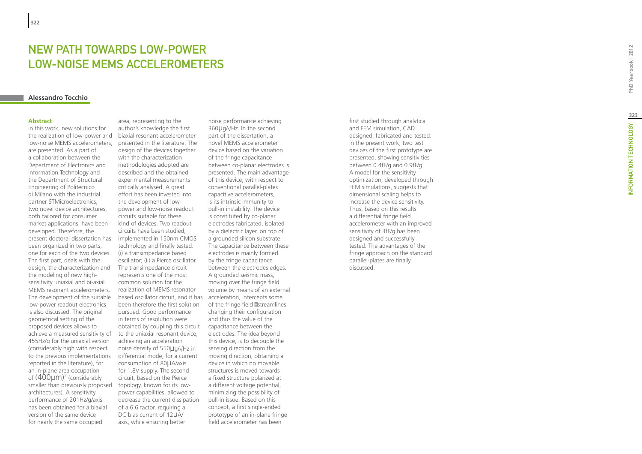## NEW PATH TOWARDS LOW-POWE LOW-NOISE MEMS ACCELEROMETERS t

## **Alessandro Tocchio**

#### **Abstract**

In this work, new solutions for the realization of low-power and low-noise MEMS accelerometers, are presented. As a part of a collaboration between the Department of Electronics and Information Technology and the Department of Structural Engineering of Politecnico di Milano with the industrial partner STMicroelectronics, two novel device architectures, both tailored for consumer market applications, have been developed. Therefore, the present doctoral dissertation has been organized in two parts, one for each of the two devices. The first part, deals with the design, the characterization and the modeling of new highsensitivity uniaxial and bi-axial MEMS resonant accelerometers. The development of the suitable low-power readout electronics is also discussed. The original geometrical setting of the proposed devices allows to achieve a measured sensitivity of 455Hz/g for the uniaxial version (considerably high with respect to the previous implementations reported in the literature), for an in-plane area occupation of  $(400 \mu m)^2$  (considerably smaller than previously proposed architectures). A sensitivity performance of 201Hz/g/axis has been obtained for a biaxial version of the same device for nearly the same occupied

based oscillator circuit, and it has acceleration, intercepts some area, representing to the author's knowledge the first biaxial resonant accelerometer presented in the literature. The design of the devices together with the characterization methodologies adopted are described and the obtained experimental measurements critically analysed. A great effort has been invested into the development of lowpower and low-noise readout circuits suitable for these kind of devices. Two readout circuits have been studied, implemented in 150nm CMOS technology and finally tested: (i) a transimpedance based oscillator; (ii) a Pierce oscillator. The transimpedance circuit represents one of the most common solution for the realization of MEMS resonator been therefore the first solution pursued. Good performance in terms of resolution were obtained by coupling this circuit to the uniaxial resonant device, achieving an acceleration noise density of 550 μg/√Hz in differential mode, for a current consumption of 80µA/axis for 1.8V supply. The second circuit, based on the Pierce topology, known for its lowpower capabilities, allowed to decrease the current dissipation of a 6.6 factor, requiring a DC bias current of 12µA/ axis, while ensuring better

noise performance achieving 360 μg/√Hz. In the second part of the dissertation, a novel MEMS accelerometer device based on the variation of the fringe capacitance between co-planar electrodes is presented. The main advantage of this device, with respect to conventional parallel-plates capacitive accelerometers, is its intrinsic immunity to pull-in instability. The device is constituted by co-planar electrodes fabricated, isolated by a dielectric layer, on top of a grounded silicon substrate. The capacitance between these electrodes is mainly formed by the fringe capacitance between the electrodes edges. A grounded seismic mass, moving over the fringe field volume by means of an external of the fringe field streamlines changing their configuration and thus the value of the capacitance between the electrodes. The idea beyond this device, is to decouple the sensing direction from the moving direction, obtaining a device in which no movable structures is moved towards a fixed structure polarized at a different voltage potential, minimizing the possibility of pull-in issue. Based on this concept, a first single-ended prototype of an in-plane fringe field accelerometer has been

first studied through analytical and FEM simulation, CAD designed, fabricated and tested. In the present work, two test devices of the first prototype are presented, showing sensitivities between 0.4fF/g and 0.9fF/g. A model for the sensitivity optimization, developed through FEM simulations, suggests that dimensional scaling helps to increase the device sensitivity. Thus, based on this results a differential fringe field accelerometer with an improved sensitivity of 3fF/g has been designed and successfully tested. The advantages of the fringe approach on the standard parallel-plates are finally discussed.